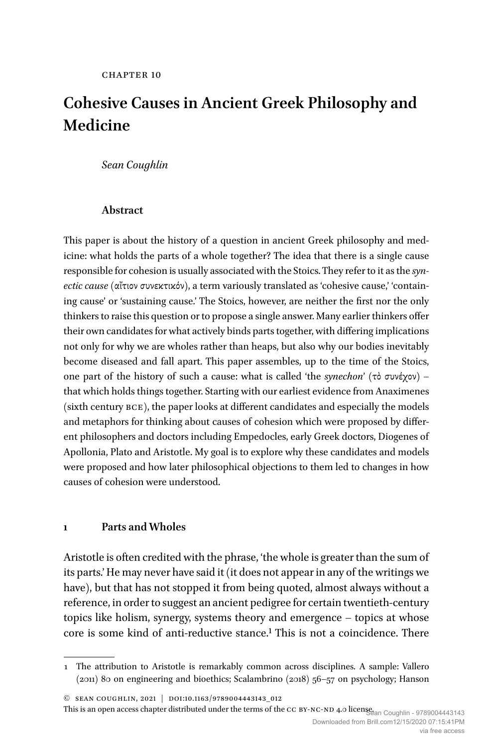# **Cohesive Causes in Ancient Greek Philosophy and Medicine**

# *Sean Coughlin*

# **Abstract**

This paper is about the history of a question in ancient Greek philosophy and medicine: what holds the parts of a whole together? The idea that there is a single cause responsible for cohesion is usually associated with the Stoics. They refer to it as the *synectic cause* (αἴτιον συνεκτικόν), a term variously translated as 'cohesive cause,' 'containing cause' or 'sustaining cause.' The Stoics, however, are neither the first nor the only thinkers to raise this question or to propose a single answer. Many earlier thinkers offer their own candidates for what actively binds parts together, with differing implications not only for why we are wholes rather than heaps, but also why our bodies inevitably become diseased and fall apart. This paper assembles, up to the time of the Stoics, one part of the history of such a cause: what is called 'the *synechon*' (τὸ συνέχον) – that which holds things together. Starting with our earliest evidence from Anaximenes (sixth century bce), the paper looks at different candidates and especially the models and metaphors for thinking about causes of cohesion which were proposed by different philosophers and doctors including Empedocles, early Greek doctors, Diogenes of Apollonia, Plato and Aristotle. My goal is to explore why these candidates and models were proposed and how later philosophical objections to them led to changes in how causes of cohesion were understood.

### **1 Parts and Wholes**

Aristotle is often credited with the phrase, 'the whole is greater than the sum of its parts.' He may never have said it (it does not appear in any of the writings we have), but that has not stopped it from being quoted, almost always without a reference, in order to suggest an ancient pedigree for certain twentieth-century topics like holism, synergy, systems theory and emergence – topics at whose core is some kind of anti-reductive stance.1 This is not a coincidence. There

© Sean Coughlin, 2021 | doi:10.1163/9789004443143\_012

This is an open access chapter distributed under the terms of the CC BY-NC-ND 4.0 licens ${\bf g}_{\rm tan}$  <sub>Coughlin - 9789004443143</sub> Downloaded from Brill.com12/15/2020 07:15:41PM via free access

<sup>1</sup> The attribution to Aristotle is remarkably common across disciplines. A sample: Vallero (2011) 80 on engineering and bioethics; Scalambrino (2018) 56–57 on psychology; Hanson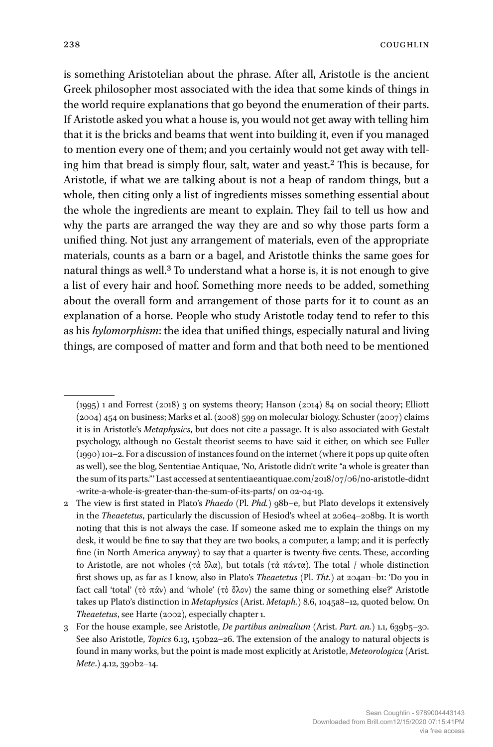is something Aristotelian about the phrase. After all, Aristotle is the ancient Greek philosopher most associated with the idea that some kinds of things in the world require explanations that go beyond the enumeration of their parts. If Aristotle asked you what a house is, you would not get away with telling him that it is the bricks and beams that went into building it, even if you managed to mention every one of them; and you certainly would not get away with telling him that bread is simply flour, salt, water and yeast.2 This is because, for Aristotle, if what we are talking about is not a heap of random things, but a whole, then citing only a list of ingredients misses something essential about the whole the ingredients are meant to explain. They fail to tell us how and why the parts are arranged the way they are and so why those parts form a unified thing. Not just any arrangement of materials, even of the appropriate materials, counts as a barn or a bagel, and Aristotle thinks the same goes for natural things as well.<sup>3</sup> To understand what a horse is, it is not enough to give a list of every hair and hoof. Something more needs to be added, something about the overall form and arrangement of those parts for it to count as an explanation of a horse. People who study Aristotle today tend to refer to this as his *hylomorphism*: the idea that unified things, especially natural and living things, are composed of matter and form and that both need to be mentioned

<sup>(1995) 1</sup> and Forrest (2018) 3 on systems theory; Hanson (2014) 84 on social theory; Elliott (2004) 454 on business; Marks et al. (2008) 599 on molecular biology. Schuster (2007) claims it is in Aristotle's *Metaphysics*, but does not cite a passage. It is also associated with Gestalt psychology, although no Gestalt theorist seems to have said it either, on which see Fuller (1990) 101–2. For a discussion of instances found on the internet (where it pops up quite often as well), see the blog, Sententiae Antiquae, 'No, Aristotle didn't write "a whole is greater than the sum of its parts." ' Last accessed at [sententiaeantiquae.com/2018/07/06/no-aristotle-didnt](http://sententiaeantiquae.com/2018/07/06/no-aristotle-didnt-write-a-whole-is-greater-than-the-sum-of-its-parts/) [-write-a-whole-is-greater-than-the-sum-of-its-parts/](http://sententiaeantiquae.com/2018/07/06/no-aristotle-didnt-write-a-whole-is-greater-than-the-sum-of-its-parts/) on 02-04-19.

<sup>2</sup> The view is first stated in Plato's *Phaedo* (Pl. *Phd.*) 98b–e, but Plato develops it extensively in the *Theaetetus*, particularly the discussion of Hesiod's wheel at 206e4-208b9. It is worth noting that this is not always the case. If someone asked me to explain the things on my desk, it would be fine to say that they are two books, a computer, a lamp; and it is perfectly fine (in North America anyway) to say that a quarter is twenty-five cents. These, according to Aristotle, are not wholes (τὰ ὅλα), but totals (τὰ πάντα). The total / whole distinction first shows up, as far as I know, also in Plato's *Theaetetus* (Pl. *Tht.*) at 204a11–b1: 'Do you in fact call 'total' (τὸ πᾶν) and 'whole' (τὸ ὅλον) the same thing or something else?' Aristotle takes up Plato's distinction in *Metaphysics* (Arist. *Metaph.*) 8.6, 1045a8–12, quoted below. On *Theaetetus*, see Harte (2002), especially chapter 1.

<sup>3</sup> For the house example, see Aristotle, *De partibus animalium* (Arist. *Part. an.*) 1.1, 639b5–30. See also Aristotle, *Topics* 6.13, 150b22–26. The extension of the analogy to natural objects is found in many works, but the point is made most explicitly at Aristotle, *Meteorologica* (Arist. *Mete*.) 4.12, 390b2–14.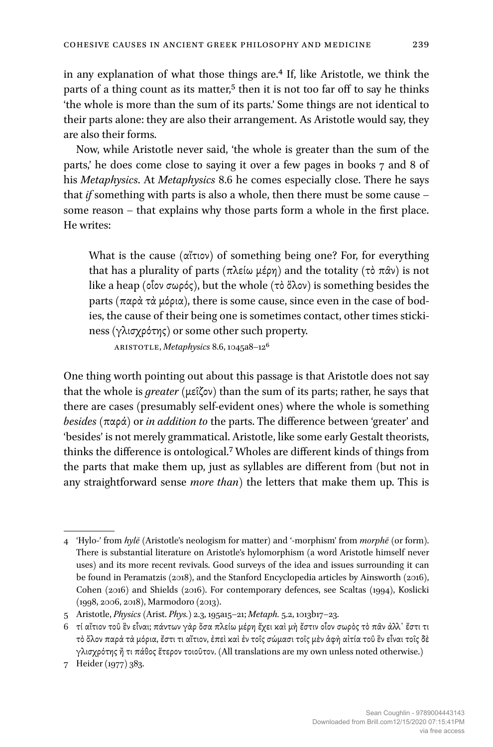in any explanation of what those things are.4 If, like Aristotle, we think the parts of a thing count as its matter,<sup>5</sup> then it is not too far off to say he thinks 'the whole is more than the sum of its parts.' Some things are not identical to their parts alone: they are also their arrangement. As Aristotle would say, they are also their forms.

Now, while Aristotle never said, 'the whole is greater than the sum of the parts,' he does come close to saying it over a few pages in books 7 and 8 of his *Metaphysics*. At *Metaphysics* 8.6 he comes especially close. There he says that *if* something with parts is also a whole, then there must be some cause – some reason – that explains why those parts form a whole in the first place. He writes:

What is the cause (αἴτιον) of something being one? For, for everything that has a plurality of parts (πλείω μέρη) and the totality (τὸ πᾶν) is not like a heap (οἷον σωρός), but the whole (τὸ ὅλον) is something besides the parts (παρὰ τὰ μόρια), there is some cause, since even in the case of bodies, the cause of their being one is sometimes contact, other times stickiness (γλισχρότης) or some other such property.

Aristotle, *Metaphysics* 8.6, 1045a8–126

One thing worth pointing out about this passage is that Aristotle does not say that the whole is *greater* (μεῖζον) than the sum of its parts; rather, he says that there are cases (presumably self-evident ones) where the whole is something *besides* (παρά) or *in addition to* the parts. The difference between 'greater' and 'besides' is not merely grammatical. Aristotle, like some early Gestalt theorists, thinks the difference is ontological.7 Wholes are different kinds of things from the parts that make them up, just as syllables are different from (but not in any straightforward sense *more than*) the letters that make them up. This is

<sup>4</sup> 'Hylo-' from *hylē* (Aristotle's neologism for matter) and '-morphism' from *morphē* (or form). There is substantial literature on Aristotle's hylomorphism (a word Aristotle himself never uses) and its more recent revivals. Good surveys of the idea and issues surrounding it can be found in Peramatzis (2018), and the Stanford Encyclopedia articles by Ainsworth (2016), Cohen (2016) and Shields (2016). For contemporary defences, see Scaltas (1994), Koslicki (1998, 2006, 2018), Marmodoro (2013).

<sup>5</sup> Aristotle, *Physics* (Arist. *Phys.*) 2.3, 195a15–21; *Metaph.* 5.2, 1013b17–23.

<sup>6</sup> τί αἴτιον τοῦ ἓν εἶναι; πάντων γὰρ ὅσα πλείω μέρη ἔχει καὶ μὴ ἔστιν οἷον σωρὸς τὸ πᾶν ἀλλ᾽ ἔστι τι τὸ ὅλον παρὰ τὰ μόρια, ἔστι τι αἴτιον, ἐπεὶ καὶ ἐν τοῖς σώμασι τοῖς μὲν ἁφὴ αἰτία τοῦ ἓν εἶναι τοῖς δὲ γλισχρότης ἤ τι πάθος ἕτερον τοιοῦτον. (All translations are my own unless noted otherwise.)

<sup>7</sup> Heider (1977) 383.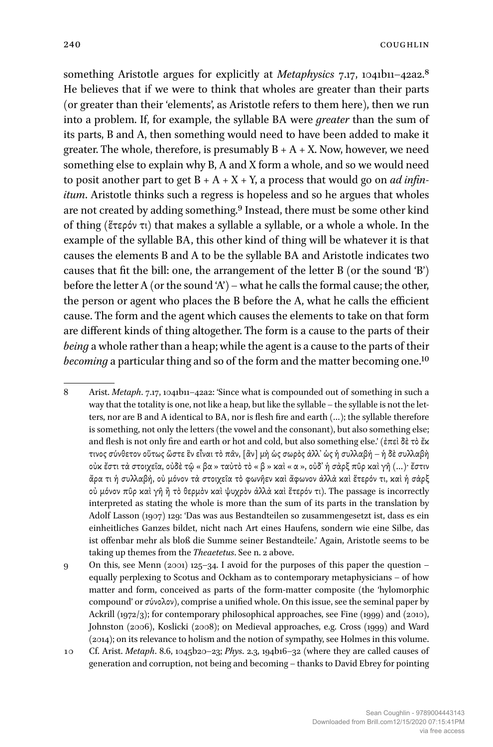something Aristotle argues for explicitly at *Metaphysics* 7.17, 1041b11–42a2.8 He believes that if we were to think that wholes are greater than their parts (or greater than their 'elements', as Aristotle refers to them here), then we run into a problem. If, for example, the syllable BA were *greater* than the sum of its parts, B and A, then something would need to have been added to make it greater. The whole, therefore, is presumably  $B + A + X$ . Now, however, we need something else to explain why B, A and X form a whole, and so we would need to posit another part to get  $B + A + X + Y$ , a process that would go on *ad infinitum*. Aristotle thinks such a regress is hopeless and so he argues that wholes are not created by adding something.9 Instead, there must be some other kind of thing (ἕτερόν τι) that makes a syllable a syllable, or a whole a whole. In the example of the syllable BA, this other kind of thing will be whatever it is that causes the elements B and A to be the syllable BA and Aristotle indicates two causes that fit the bill: one, the arrangement of the letter B (or the sound 'B') before the letter A (or the sound 'A') – what he calls the formal cause; the other, the person or agent who places the B before the A, what he calls the efficient cause. The form and the agent which causes the elements to take on that form are different kinds of thing altogether. The form is a cause to the parts of their *being* a whole rather than a heap; while the agent is a cause to the parts of their *becoming* a particular thing and so of the form and the matter becoming one.<sup>10</sup>

<sup>8</sup> Arist. *Metaph*. 7.17, 1041b11-42a2: 'Since what is compounded out of something in such a way that the totality is one, not like a heap, but like the syllable – the syllable is not the letters, nor are B and A identical to BA, nor is flesh fire and earth (…); the syllable therefore is something, not only the letters (the vowel and the consonant), but also something else; and flesh is not only fire and earth or hot and cold, but also something else.' (ἐπεὶ δὲ τὸ ἔκ τινος σύνθετον οὕτως ὥστε ἓν εἶναι τὸ πᾶν, [ἂν] μὴ ὡς σωρὸς ἀλλ' ὡς ἡ συλλαβή – ἡ δὲ συλλαβὴ οὐκ ἔστι τὰ στοιχεῖα, οὐδὲ τῷ « βα » ταὐτὸ τὸ « β » καὶ « α », οὐδ' ἡ σὰρξ πῦρ καὶ γῆ (…)· ἔστιν ἄρα τι ἡ συλλαβή, οὐ μόνον τὰ στοιχεῖα τὸ φωνῆεν καὶ ἄφωνον ἀλλὰ καὶ ἕτερόν τι, καὶ ἡ σὰρξ οὐ μόνον πῦρ καὶ γῆ ἢ τὸ θερμὸν καὶ ψυχρὸν ἀλλὰ καὶ ἕτερόν τι). The passage is incorrectly interpreted as stating the whole is more than the sum of its parts in the translation by Adolf Lasson (1907) 129: 'Das was aus Bestandteilen so zusammengesetzt ist, dass es ein einheitliches Ganzes bildet, nicht nach Art eines Haufens, sondern wie eine Silbe, das ist offenbar mehr als bloß die Summe seiner Bestandteile.' Again, Aristotle seems to be taking up themes from the *Theaetetus*. See n. 2 above.

<sup>9</sup> On this, see Menn (2001) 125–34. I avoid for the purposes of this paper the question – equally perplexing to Scotus and Ockham as to contemporary metaphysicians – of how matter and form, conceived as parts of the form-matter composite (the 'hylomorphic compound' or σύνολον), comprise a unified whole. On this issue, see the seminal paper by Ackrill (1972/3); for contemporary philosophical approaches, see Fine (1999) and (2010), Johnston (2006), Koslicki (2008); on Medieval approaches, e.g. Cross (1999) and Ward (2014); on its relevance to holism and the notion of sympathy, see Holmes in this volume.

<sup>10</sup> Cf. Arist. *Metaph*. 8.6, 1045b20–23; *Phys*. 2.3, 194b16–32 (where they are called causes of generation and corruption, not being and becoming – thanks to David Ebrey for pointing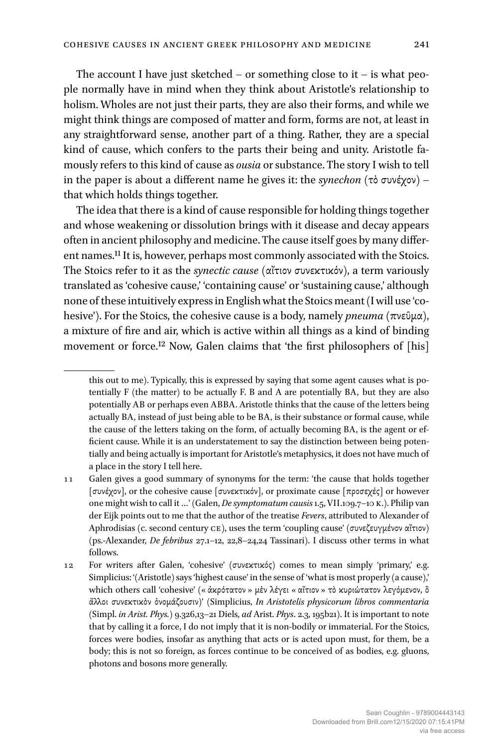The account I have just sketched – or something close to it – is what people normally have in mind when they think about Aristotle's relationship to holism. Wholes are not just their parts, they are also their forms, and while we might think things are composed of matter and form, forms are not, at least in any straightforward sense, another part of a thing. Rather, they are a special kind of cause, which confers to the parts their being and unity. Aristotle famously refers to this kind of cause as *ousia* or substance. The story I wish to tell in the paper is about a different name he gives it: the *synechon* (τὸ συνέχον) – that which holds things together.

The idea that there is a kind of cause responsible for holding things together and whose weakening or dissolution brings with it disease and decay appears often in ancient philosophy and medicine. The cause itself goes by many different names.11 It is, however, perhaps most commonly associated with the Stoics. The Stoics refer to it as the *synectic cause* (αἴτιον συνεκτικόν), a term variously translated as 'cohesive cause,' 'containing cause' or 'sustaining cause,' although none of these intuitively express in English what the Stoics meant (I will use 'cohesive'). For the Stoics, the cohesive cause is a body, namely *pneuma* (πνεῦμα), a mixture of fire and air, which is active within all things as a kind of binding movement or force.12 Now, Galen claims that 'the first philosophers of [his]

this out to me). Typically, this is expressed by saying that some agent causes what is potentially F (the matter) to be actually F. B and A are potentially BA, but they are also potentially AB or perhaps even ABBA. Aristotle thinks that the cause of the letters being actually BA, instead of just being able to be BA, is their substance or formal cause, while the cause of the letters taking on the form, of actually becoming BA, is the agent or efficient cause. While it is an understatement to say the distinction between being potentially and being actually is important for Aristotle's metaphysics, it does not have much of a place in the story I tell here.

<sup>11</sup> Galen gives a good summary of synonyms for the term: 'the cause that holds together [συνέχον], or the cohesive cause [συνεκτικόν], or proximate cause [προσεχές] or however one might wish to call it …' (Galen, *De symptomatum causis* 1.5, VII.109.7–10 K.). Philip van der Eijk points out to me that the author of the treatise *Fevers*, attributed to Alexander of Aphrodisias (c. second century ce), uses the term 'coupling cause' (συνεζευγμένον αἴτιον) (ps.-Alexander, *De febribus* 27.1–12, 22,8–24,24 Tassinari). I discuss other terms in what follows.

<sup>12</sup> For writers after Galen, 'cohesive' (συνεκτικός) comes to mean simply 'primary,' e.g. Simplicius: '(Aristotle) says 'highest cause' in the sense of 'what is most properly (a cause),' which others call 'cohesive' (« ἀκρότατον » μὲν λέγει « αἴτιον » τὸ κυριώτατον λεγόμενον, ὃ ἄλλοι συνεκτικὸν ὀνομάζουσιν)' (Simplicius, *In Aristotelis physicorum libros commentaria* (Simpl. *in Arist. Phys.*) 9.326,13–21 Diels, *ad* Arist. *Phys*. 2.3, 195b21). It is important to note that by calling it a force, I do not imply that it is non-bodily or immaterial. For the Stoics, forces were bodies, insofar as anything that acts or is acted upon must, for them, be a body; this is not so foreign, as forces continue to be conceived of as bodies, e.g. gluons, photons and bosons more generally.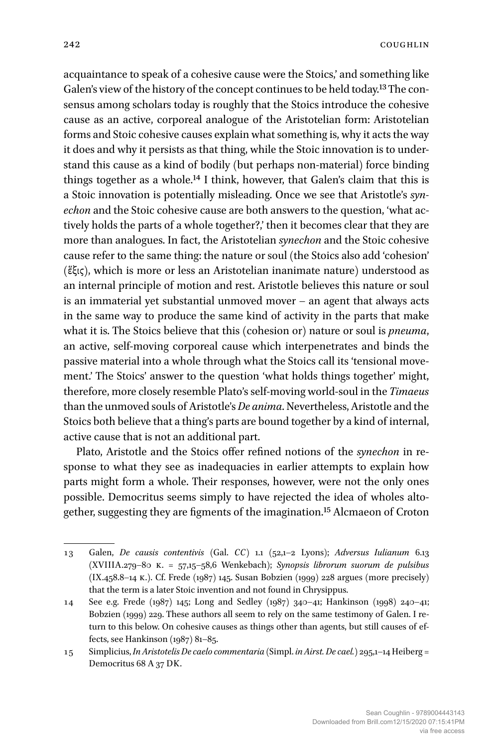acquaintance to speak of a cohesive cause were the Stoics,' and something like Galen's view of the history of the concept continues to be held today.13 The consensus among scholars today is roughly that the Stoics introduce the cohesive cause as an active, corporeal analogue of the Aristotelian form: Aristotelian forms and Stoic cohesive causes explain what something is, why it acts the way it does and why it persists as that thing, while the Stoic innovation is to understand this cause as a kind of bodily (but perhaps non-material) force binding things together as a whole.14 I think, however, that Galen's claim that this is a Stoic innovation is potentially misleading. Once we see that Aristotle's *synechon* and the Stoic cohesive cause are both answers to the question, 'what actively holds the parts of a whole together?,' then it becomes clear that they are more than analogues. In fact, the Aristotelian *synechon* and the Stoic cohesive cause refer to the same thing: the nature or soul (the Stoics also add 'cohesion' (ἕξις), which is more or less an Aristotelian inanimate nature) understood as an internal principle of motion and rest. Aristotle believes this nature or soul is an immaterial yet substantial unmoved mover – an agent that always acts in the same way to produce the same kind of activity in the parts that make what it is. The Stoics believe that this (cohesion or) nature or soul is *pneuma*, an active, self-moving corporeal cause which interpenetrates and binds the passive material into a whole through what the Stoics call its 'tensional movement.' The Stoics' answer to the question 'what holds things together' might, therefore, more closely resemble Plato's self-moving world-soul in the *Timaeus* than the unmoved souls of Aristotle's *De anima*. Nevertheless, Aristotle and the Stoics both believe that a thing's parts are bound together by a kind of internal, active cause that is not an additional part.

Plato, Aristotle and the Stoics offer refined notions of the *synechon* in response to what they see as inadequacies in earlier attempts to explain how parts might form a whole. Their responses, however, were not the only ones possible. Democritus seems simply to have rejected the idea of wholes altogether, suggesting they are figments of the imagination.15 Alcmaeon of Croton

<sup>13</sup> Galen, *De causis contentivis* (Gal. *CC*) 1.1 (52,1–2 Lyons); *Adversus Iulianum* 6.13 (XVIIIA.279–80 K. = 57,15–58,6 Wenkebach); *Synopsis librorum suorum de pulsibus* (IX.458.8–14 K.). Cf. Frede (1987) 145. Susan Bobzien (1999) 228 argues (more precisely) that the term is a later Stoic invention and not found in Chrysippus.

<sup>14</sup> See e.g. Frede (1987) 145; Long and Sedley (1987) 340–41; Hankinson (1998) 240–41; Bobzien (1999) 229. These authors all seem to rely on the same testimony of Galen. I return to this below. On cohesive causes as things other than agents, but still causes of effects, see Hankinson (1987) 81–85.

<sup>15</sup> Simplicius, *In Aristotelis De caelo commentaria* (Simpl. *in Airst. De cael.*) 295,1–14 Heiberg = Democritus 68 A 37 DK.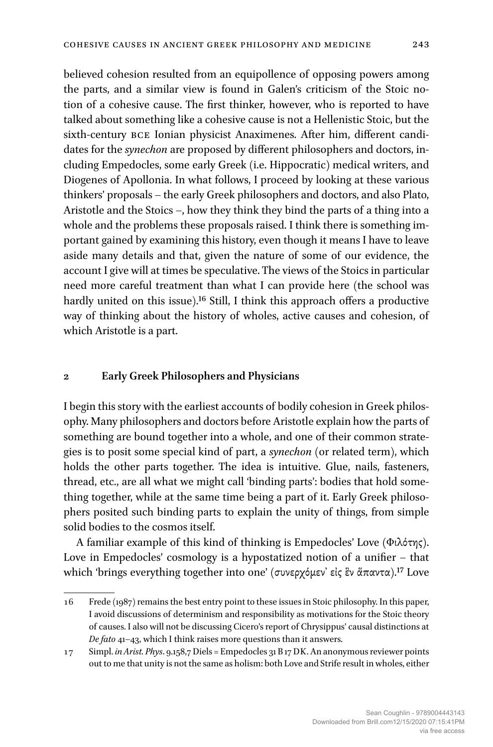believed cohesion resulted from an equipollence of opposing powers among the parts, and a similar view is found in Galen's criticism of the Stoic notion of a cohesive cause. The first thinker, however, who is reported to have talked about something like a cohesive cause is not a Hellenistic Stoic, but the sixth-century bce Ionian physicist Anaximenes. After him, different candidates for the *synechon* are proposed by different philosophers and doctors, including Empedocles, some early Greek (i.e. Hippocratic) medical writers, and Diogenes of Apollonia. In what follows, I proceed by looking at these various thinkers' proposals – the early Greek philosophers and doctors, and also Plato, Aristotle and the Stoics –, how they think they bind the parts of a thing into a whole and the problems these proposals raised. I think there is something important gained by examining this history, even though it means I have to leave aside many details and that, given the nature of some of our evidence, the account I give will at times be speculative. The views of the Stoics in particular need more careful treatment than what I can provide here (the school was hardly united on this issue).<sup>16</sup> Still, I think this approach offers a productive way of thinking about the history of wholes, active causes and cohesion, of which Aristotle is a part.

# **2 Early Greek Philosophers and Physicians**

I begin this story with the earliest accounts of bodily cohesion in Greek philosophy. Many philosophers and doctors before Aristotle explain how the parts of something are bound together into a whole, and one of their common strategies is to posit some special kind of part, a *synechon* (or related term), which holds the other parts together. The idea is intuitive. Glue, nails, fasteners, thread, etc., are all what we might call 'binding parts': bodies that hold something together, while at the same time being a part of it. Early Greek philosophers posited such binding parts to explain the unity of things, from simple solid bodies to the cosmos itself.

A familiar example of this kind of thinking is Empedocles' Love (Φιλότης). Love in Empedocles' cosmology is a hypostatized notion of a unifier – that which 'brings everything together into one' (συνερχόμεν' εἰς ἓν ἅπαντα).<sup>17</sup> Love

<sup>16</sup> Frede (1987) remains the best entry point to these issues in Stoic philosophy. In this paper, I avoid discussions of determinism and responsibility as motivations for the Stoic theory of causes. I also will not be discussing Cicero's report of Chrysippus' causal distinctions at *De fato* 41–43, which I think raises more questions than it answers.

<sup>17</sup> Simpl. *in Arist. Phys*. 9.158,7 Diels = Empedocles 31 B 17 DK. An anonymous reviewer points out to me that unity is not the same as holism: both Love and Strife result in wholes, either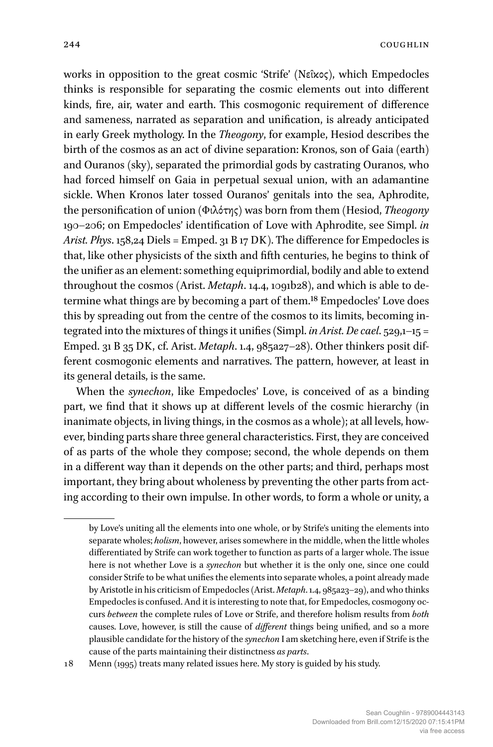works in opposition to the great cosmic 'Strife' (Νεῖκος), which Empedocles thinks is responsible for separating the cosmic elements out into different kinds, fire, air, water and earth. This cosmogonic requirement of difference and sameness, narrated as separation and unification, is already anticipated in early Greek mythology. In the *Theogony*, for example, Hesiod describes the birth of the cosmos as an act of divine separation: Kronos, son of Gaia (earth) and Ouranos (sky), separated the primordial gods by castrating Ouranos, who had forced himself on Gaia in perpetual sexual union, with an adamantine sickle. When Kronos later tossed Ouranos' genitals into the sea, Aphrodite, the personification of union (Φιλότης) was born from them (Hesiod, *Theogony* 190–206; on Empedocles' identification of Love with Aphrodite, see Simpl. *in Arist. Phys*. 158,24 Diels = Emped. 31 B 17 DK). The difference for Empedocles is that, like other physicists of the sixth and fifth centuries, he begins to think of the unifier as an element: something equiprimordial, bodily and able to extend throughout the cosmos (Arist. *Metaph*. 14.4, 1091b28), and which is able to determine what things are by becoming a part of them.18 Empedocles' Love does this by spreading out from the centre of the cosmos to its limits, becoming integrated into the mixtures of things it unifies (Simpl. *in Arist. De cael*. 529,1–15 = Emped. 31 B 35 DK, cf. Arist. *Metaph*. 1.4, 985a27–28). Other thinkers posit different cosmogonic elements and narratives. The pattern, however, at least in its general details, is the same.

When the *synechon*, like Empedocles' Love, is conceived of as a binding part, we find that it shows up at different levels of the cosmic hierarchy (in inanimate objects, in living things, in the cosmos as a whole); at all levels, however, binding parts share three general characteristics. First, they are conceived of as parts of the whole they compose; second, the whole depends on them in a different way than it depends on the other parts; and third, perhaps most important, they bring about wholeness by preventing the other parts from acting according to their own impulse. In other words, to form a whole or unity, a

by Love's uniting all the elements into one whole, or by Strife's uniting the elements into separate wholes; *holism*, however, arises somewhere in the middle, when the little wholes differentiated by Strife can work together to function as parts of a larger whole. The issue here is not whether Love is a *synechon* but whether it is the only one, since one could consider Strife to be what unifies the elements into separate wholes, a point already made by Aristotle in his criticism of Empedocles (Arist. *Metaph*. 1.4, 985a23–29), and who thinks Empedocles is confused. And it is interesting to note that, for Empedocles, cosmogony occurs *between* the complete rules of Love or Strife, and therefore holism results from *both* causes. Love, however, is still the cause of *different* things being unified, and so a more plausible candidate for the history of the *synechon* I am sketching here, even if Strife is the cause of the parts maintaining their distinctness *as parts*.

<sup>18</sup> Menn (1995) treats many related issues here. My story is guided by his study.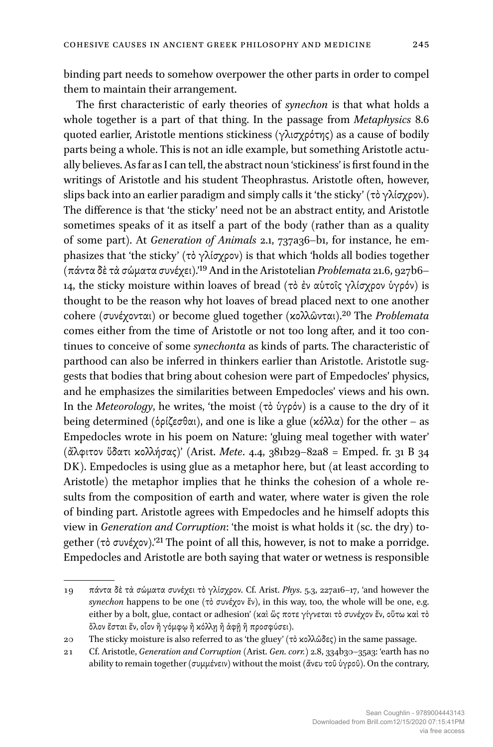binding part needs to somehow overpower the other parts in order to compel them to maintain their arrangement.

The first characteristic of early theories of *synechon* is that what holds a whole together is a part of that thing. In the passage from *Metaphysics* 8.6 quoted earlier, Aristotle mentions stickiness (γλισχρότης) as a cause of bodily parts being a whole. This is not an idle example, but something Aristotle actually believes. As far as I can tell, the abstract noun 'stickiness' is first found in the writings of Aristotle and his student Theophrastus. Aristotle often, however, slips back into an earlier paradigm and simply calls it 'the sticky' (τὸ γλίσχρον). The difference is that 'the sticky' need not be an abstract entity, and Aristotle sometimes speaks of it as itself a part of the body (rather than as a quality of some part). At *Generation of Animals* 2.1, 737a36–b1, for instance, he emphasizes that 'the sticky' (τὸ γλίσχρον) is that which 'holds all bodies together (πάντα δὲ τὰ σώματα συνέχει).'19 And in the Aristotelian *Problemata* 21.6, 927b6– 14, the sticky moisture within loaves of bread (τὸ ἐν αὑτοῖς γλίσχρον ὑγρόν) is thought to be the reason why hot loaves of bread placed next to one another cohere (συνέχονται) or become glued together (κολλῶνται).20 The *Problemata* comes either from the time of Aristotle or not too long after, and it too continues to conceive of some *synechonta* as kinds of parts. The characteristic of parthood can also be inferred in thinkers earlier than Aristotle. Aristotle suggests that bodies that bring about cohesion were part of Empedocles' physics, and he emphasizes the similarities between Empedocles' views and his own. In the *Meteorology*, he writes, 'the moist (τὸ ὑγρόν) is a cause to the dry of it being determined (ὁρίζεσθαι), and one is like a glue (κόλλα) for the other – as Empedocles wrote in his poem on Nature: 'gluing meal together with water' (ἄλφιτον ὕδατι κολλήσας)' (Arist. *Mete*. 4.4, 381b29–82a8 = Emped. fr. 31 B 34 DK). Empedocles is using glue as a metaphor here, but (at least according to Aristotle) the metaphor implies that he thinks the cohesion of a whole results from the composition of earth and water, where water is given the role of binding part. Aristotle agrees with Empedocles and he himself adopts this view in *Generation and Corruption*: 'the moist is what holds it (sc. the dry) together (τὸ συνέχον).'21 The point of all this, however, is not to make a porridge. Empedocles and Aristotle are both saying that water or wetness is responsible

<sup>19</sup> πάντα δὲ τὰ σώματα συνέχει τὸ γλίσχρον. Cf. Arist. *Phys*. 5.3, 227a16–17, 'and however the *synechon* happens to be one (τὸ συνέχον ἕν), in this way, too, the whole will be one, e.g. either by a bolt, glue, contact or adhesion' (καὶ ὥς ποτε γίγνεται τὸ συνέχον ἕν, οὕτω καὶ τὸ ὅλον ἔσται ἕν, οἷον ἢ γόμφῳ ἢ κόλλῃ ἢ ἁφῇ ἢ προσφύσει).

<sup>20</sup> The sticky moisture is also referred to as 'the gluey' (τὸ κολλῶδες) in the same passage.

<sup>21</sup> Cf. Aristotle, *Generation and Corruption* (Arist. *Gen. corr.*) 2.8, 334b30–35a3: 'earth has no ability to remain together (συμμένειν) without the moist (ἄνευ τοῦ ὑγροῦ). On the contrary,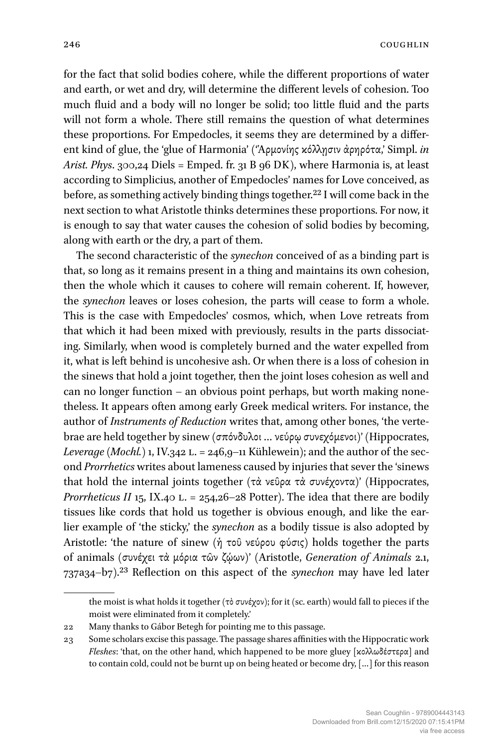for the fact that solid bodies cohere, while the different proportions of water and earth, or wet and dry, will determine the different levels of cohesion. Too much fluid and a body will no longer be solid; too little fluid and the parts will not form a whole. There still remains the question of what determines these proportions. For Empedocles, it seems they are determined by a different kind of glue, the 'glue of Harmonia' ("Αρμονίης κόλλησιν ἀρηρότα,' Simpl. in *Arist. Phys*. 300,24 Diels = Emped. fr. 31 B 96 DK), where Harmonia is, at least according to Simplicius, another of Empedocles' names for Love conceived, as before, as something actively binding things together.22 I will come back in the next section to what Aristotle thinks determines these proportions. For now, it is enough to say that water causes the cohesion of solid bodies by becoming, along with earth or the dry, a part of them.

The second characteristic of the *synechon* conceived of as a binding part is that, so long as it remains present in a thing and maintains its own cohesion, then the whole which it causes to cohere will remain coherent. If, however, the *synechon* leaves or loses cohesion, the parts will cease to form a whole. This is the case with Empedocles' cosmos, which, when Love retreats from that which it had been mixed with previously, results in the parts dissociating. Similarly, when wood is completely burned and the water expelled from it, what is left behind is uncohesive ash. Or when there is a loss of cohesion in the sinews that hold a joint together, then the joint loses cohesion as well and can no longer function – an obvious point perhaps, but worth making nonetheless. It appears often among early Greek medical writers. For instance, the author of *Instruments of Reduction* writes that, among other bones, 'the vertebrae are held together by sinew (σπόνδυλοι … νεύρῳ συνεχόμενοι)' (Hippocrates, *Leverage (Mochl.)* 1, IV.342 L. = 246,9–11 Kühlewein); and the author of the second *Prorrhetics* writes about lameness caused by injuries that sever the 'sinews that hold the internal joints together (τὰ νεῦρα τὰ συνέχοντα)' (Hippocrates, *Prorrheticus II* 15, IX.40 L. = 254,26–28 Potter). The idea that there are bodily tissues like cords that hold us together is obvious enough, and like the earlier example of 'the sticky,' the *synechon* as a bodily tissue is also adopted by Aristotle: 'the nature of sinew (ἡ τοῦ νεύρου φύσις) holds together the parts of animals (συνέχει τὰ μόρια τῶν ζῴων)' (Aristotle, *Generation of Animals* 2.1, 737a34–b7).23 Reflection on this aspect of the *synechon* may have led later

the moist is what holds it together (τὸ συνέχον); for it (sc. earth) would fall to pieces if the moist were eliminated from it completely.'

<sup>22</sup> Many thanks to Gábor Betegh for pointing me to this passage.

<sup>23</sup> Some scholars excise this passage. The passage shares affinities with the Hippocratic work *Fleshes*: 'that, on the other hand, which happened to be more gluey [κολλωδέστερα] and to contain cold, could not be burnt up on being heated or become dry, […] for this reason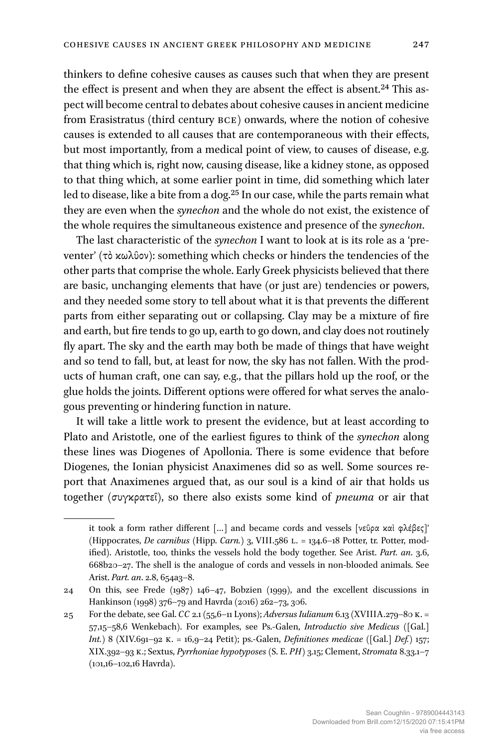thinkers to define cohesive causes as causes such that when they are present the effect is present and when they are absent the effect is absent.<sup>24</sup> This aspect will become central to debates about cohesive causes in ancient medicine from Erasistratus (third century bce) onwards, where the notion of cohesive causes is extended to all causes that are contemporaneous with their effects, but most importantly, from a medical point of view, to causes of disease, e.g. that thing which is, right now, causing disease, like a kidney stone, as opposed to that thing which, at some earlier point in time, did something which later led to disease, like a bite from a dog.<sup>25</sup> In our case, while the parts remain what they are even when the *synechon* and the whole do not exist, the existence of the whole requires the simultaneous existence and presence of the *synechon*.

The last characteristic of the *synechon* I want to look at is its role as a 'preventer' (τὸ κωλῦον): something which checks or hinders the tendencies of the other parts that comprise the whole. Early Greek physicists believed that there are basic, unchanging elements that have (or just are) tendencies or powers, and they needed some story to tell about what it is that prevents the different parts from either separating out or collapsing. Clay may be a mixture of fire and earth, but fire tends to go up, earth to go down, and clay does not routinely fly apart. The sky and the earth may both be made of things that have weight and so tend to fall, but, at least for now, the sky has not fallen. With the products of human craft, one can say, e.g., that the pillars hold up the roof, or the glue holds the joints. Different options were offered for what serves the analogous preventing or hindering function in nature.

It will take a little work to present the evidence, but at least according to Plato and Aristotle, one of the earliest figures to think of the *synechon* along these lines was Diogenes of Apollonia. There is some evidence that before Diogenes, the Ionian physicist Anaximenes did so as well. Some sources report that Anaximenes argued that, as our soul is a kind of air that holds us together (συγκρατεῖ), so there also exists some kind of *pneuma* or air that

it took a form rather different […] and became cords and vessels [νεῦρα καὶ φλέβες]' (Hippocrates, *De carnibus* (Hipp. *Carn.*) 3, VIII.586 L. = 134.6–18 Potter, tr. Potter, modified). Aristotle, too, thinks the vessels hold the body together. See Arist. *Part. an*. 3.6, 668b20–27. The shell is the analogue of cords and vessels in non-blooded animals. See Arist. *Part. an*. 2.8, 654a3–8.

<sup>24</sup> On this, see Frede (1987) 146–47, Bobzien (1999), and the excellent discussions in Hankinson (1998) 376–79 and Havrda (2016) 262–73, 306.

<sup>25</sup> For the debate, see Gal. *CC* 2.1 (55,6–11 Lyons); *Adversus Iulianum* 6.13 (XVIIIA.279–80 K. = 57,15–58,6 Wenkebach). For examples, see Ps.-Galen, *Introductio sive Medicus* ([Gal.] *Int.*) 8 (XIV.691–92 K. = 16,9–24 Petit); ps.-Galen, *Definitiones medicae* ([Gal.] *Def.*) 157; XIX.392–93 K.; Sextus, *Pyrrhoniae hypotyposes* (S. E. *PH*) 3.15; Clement, *Stromata* 8.33.1–7 (101,16–102,16 Havrda).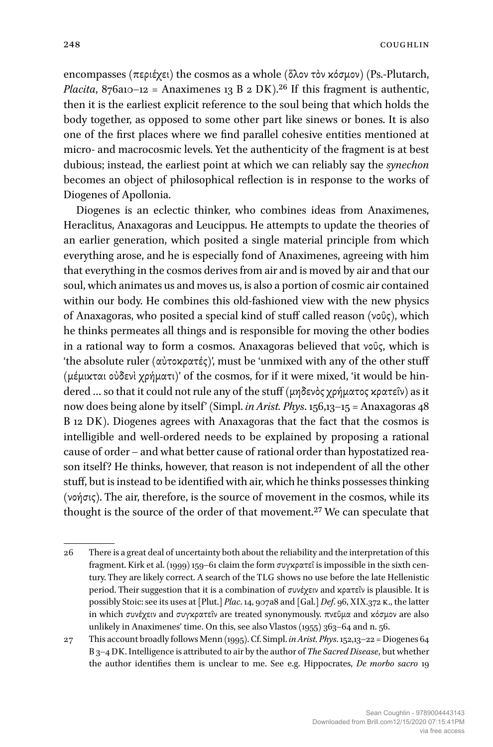encompasses (περιέχει) the cosmos as a whole (ὅλον τὸν κόσμον) (Ps.-Plutarch, *Placita*, 876a10–12 = Anaximenes 13 B 2 DK).<sup>26</sup> If this fragment is authentic, then it is the earliest explicit reference to the soul being that which holds the body together, as opposed to some other part like sinews or bones. It is also one of the first places where we find parallel cohesive entities mentioned at micro- and macrocosmic levels. Yet the authenticity of the fragment is at best dubious; instead, the earliest point at which we can reliably say the *synechon* becomes an object of philosophical reflection is in response to the works of Diogenes of Apollonia.

Diogenes is an eclectic thinker, who combines ideas from Anaximenes, Heraclitus, Anaxagoras and Leucippus. He attempts to update the theories of an earlier generation, which posited a single material principle from which everything arose, and he is especially fond of Anaximenes, agreeing with him that everything in the cosmos derives from air and is moved by air and that our soul, which animates us and moves us, is also a portion of cosmic air contained within our body. He combines this old-fashioned view with the new physics of Anaxagoras, who posited a special kind of stuff called reason (νοῦς), which he thinks permeates all things and is responsible for moving the other bodies in a rational way to form a cosmos. Anaxagoras believed that νοῦς, which is 'the absolute ruler (αὐτοκρατές)', must be 'unmixed with any of the other stuff (μέμικται οὐδενὶ χρήματι)' of the cosmos, for if it were mixed, 'it would be hindered … so that it could not rule any of the stuff (μηδενὸς χρήματος κρατεῖν) as it now does being alone by itself' (Simpl. *in Arist. Phys*. 156,13–15 = Anaxagoras 48 B 12 DK). Diogenes agrees with Anaxagoras that the fact that the cosmos is intelligible and well-ordered needs to be explained by proposing a rational cause of order – and what better cause of rational order than hypostatized reason itself? He thinks, however, that reason is not independent of all the other stuff, but is instead to be identified with air, which he thinks possesses thinking (νοήσις). The air, therefore, is the source of movement in the cosmos, while its thought is the source of the order of that movement.<sup>27</sup> We can speculate that

<sup>26</sup> There is a great deal of uncertainty both about the reliability and the interpretation of this fragment. Kirk et al. (1999) 159–61 claim the form συγκρατεῖ is impossible in the sixth century. They are likely correct. A search of the TLG shows no use before the late Hellenistic period. Their suggestion that it is a combination of συνέχειν and κρατεῖν is plausible. It is possibly Stoic: see its uses at [Plut.] *Plac*. 14, 907a8 and [Gal.] *Def*. 96, XIX.372 K., the latter in which συνέχειν and συγκρατεΐν are treated synonymously. πνεῦμα and κόσμον are also unlikely in Anaximenes' time. On this, see also Vlastos (1955) 363–64 and n. 56.

<sup>27</sup> This account broadly follows Menn (1995). Cf. Simpl. *in Arist. Phys*. 152,13–22 = Diogenes 64 B 3–4 DK. Intelligence is attributed to air by the author of *The Sacred Disease*, but whether the author identifies them is unclear to me. See e.g. Hippocrates, *De morbo sacro* 19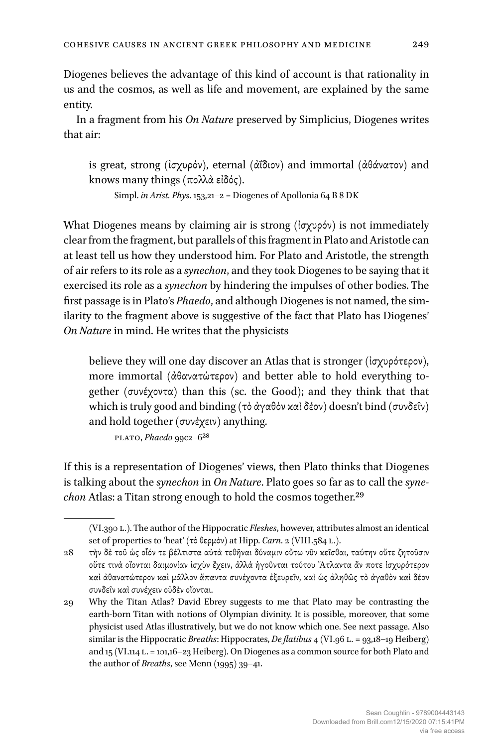Diogenes believes the advantage of this kind of account is that rationality in us and the cosmos, as well as life and movement, are explained by the same entity.

In a fragment from his *On Nature* preserved by Simplicius, Diogenes writes that air:

is great, strong (ἰσχυρόν), eternal (ἀΐδιον) and immortal (ἀθάνατον) and knows many things (πολλὰ εἰδός).

Simpl. *in Arist. Phys*. 153,21–2 = Diogenes of Apollonia 64 B 8 DK

What Diogenes means by claiming air is strong (ἰσχυρόν) is not immediately clear from the fragment, but parallels of this fragment in Plato and Aristotle can at least tell us how they understood him. For Plato and Aristotle, the strength of air refers to its role as a *synechon*, and they took Diogenes to be saying that it exercised its role as a *synechon* by hindering the impulses of other bodies. The first passage is in Plato's *Phaedo*, and although Diogenes is not named, the similarity to the fragment above is suggestive of the fact that Plato has Diogenes' *On Nature* in mind. He writes that the physicists

believe they will one day discover an Atlas that is stronger (ἰσχυρότερον), more immortal (ἀθανατώτερον) and better able to hold everything together (συνέχοντα) than this (sc. the Good); and they think that that which is truly good and binding (τὸ ἀγαθὸν καὶ δέον) doesn't bind (συνδεῖν) and hold together (συνέχειν) anything.

Plato, *Phaedo* 99c2–628

If this is a representation of Diogenes' views, then Plato thinks that Diogenes is talking about the *synechon* in *On Nature*. Plato goes so far as to call the *synechon* Atlas: a Titan strong enough to hold the cosmos together.<sup>29</sup>

<sup>(</sup>VI.390 L.). The author of the Hippocratic *Fleshes*, however, attributes almost an identical set of properties to 'heat' (τὸ θερμόν) at Hipp. *Carn*. 2 (VIII.584 L.).

<sup>28</sup> τὴν δὲ τοῦ ὡς οἷόν τε βέλτιστα αὐτὰ τεθῆναι δύναμιν οὕτω νῦν κεῖσθαι, ταύτην οὔτε ζητοῦσιν οὔτε τινὰ οἴονται δαιμονίαν ἰσχὺν ἔχειν, ἀλλὰ ἡγοῦνται τούτου Ἄτλαντα ἄν ποτε ἰσχυρότερον καὶ ἀθανατώτερον καὶ μᾶλλον ἅπαντα συνέχοντα ἐξευρεῖν, καὶ ὡς ἀληθῶς τὸ ἀγαθὸν καὶ δέον συνδεῖν καὶ συνέχειν οὐδὲν οἴονται.

<sup>29</sup> Why the Titan Atlas? David Ebrey suggests to me that Plato may be contrasting the earth-born Titan with notions of Olympian divinity. It is possible, moreover, that some physicist used Atlas illustratively, but we do not know which one. See next passage. Also similar is the Hippocratic *Breaths*: Hippocrates, *De flatibus* 4 (VI.96 L. = 93,18–19 Heiberg) and 15 (VI.114 L. = 101,16–23 Heiberg). On Diogenes as a common source for both Plato and the author of *Breaths*, see Menn (1995) 39–41.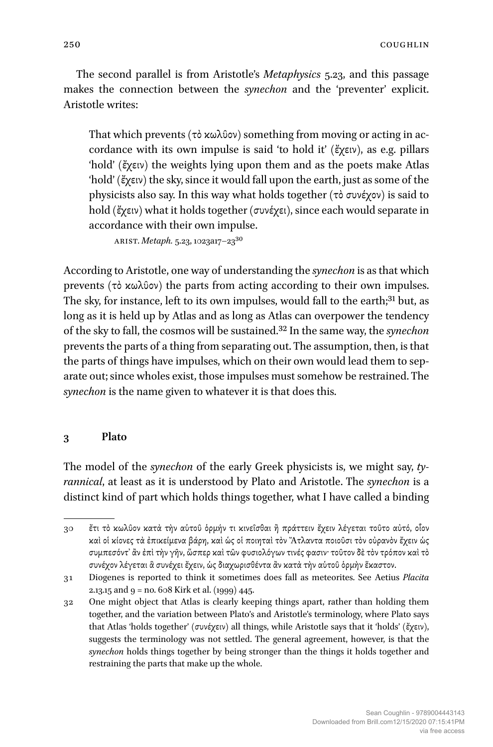The second parallel is from Aristotle's *Metaphysics* 5.23, and this passage makes the connection between the *synechon* and the 'preventer' explicit. Aristotle writes:

That which prevents (τὸ κωλῦον) something from moving or acting in accordance with its own impulse is said 'to hold it' (ἔχειν), as e.g. pillars 'hold' (ἔχειν) the weights lying upon them and as the poets make Atlas 'hold' (ἔχειν) the sky, since it would fall upon the earth, just as some of the physicists also say. In this way what holds together (τὸ συνέχον) is said to hold (ἔχειν) what it holds together (συνέχει), since each would separate in accordance with their own impulse.

Arist. *Metaph.* 5.23, 1023a17–2330

According to Aristotle, one way of understanding the *synechon* is as that which prevents (τὸ κωλῦον) the parts from acting according to their own impulses. The sky, for instance, left to its own impulses, would fall to the earth;<sup>31</sup> but, as long as it is held up by Atlas and as long as Atlas can overpower the tendency of the sky to fall, the cosmos will be sustained.32 In the same way, the *synechon* prevents the parts of a thing from separating out. The assumption, then, is that the parts of things have impulses, which on their own would lead them to separate out; since wholes exist, those impulses must somehow be restrained. The *synechon* is the name given to whatever it is that does this.

# **3 Plato**

The model of the *synechon* of the early Greek physicists is, we might say, *tyrannical*, at least as it is understood by Plato and Aristotle. The *synechon* is a distinct kind of part which holds things together, what I have called a binding

<sup>30</sup> ἔτι τὸ κωλῦον κατὰ τὴν αὑτοῦ ὁρμήν τι κινεῖσθαι ἢ πράττειν ἔχειν λέγεται τοῦτο αὐτό, οἷον καὶ οἱ κίονες τὰ ἐπικείμενα βάρη, καὶ ὡς οἱ ποιηταὶ τὸν Ἄτλαντα ποιοῦσι τὸν οὐρανὸν ἔχειν ὡς συμπεσόντ' ἂν ἐπὶ τὴν γῆν, ὥσπερ καὶ τῶν φυσιολόγων τινές φασιν· τοῦτον δὲ τὸν τρόπον καὶ τὸ συνέχον λέγεται ἃ συνέχει ἔχειν, ὡς διαχωρισθέντα ἂν κατὰ τὴν αὑτοῦ ὁρμὴν ἕκαστον.

<sup>31</sup> Diogenes is reported to think it sometimes does fall as meteorites. See Aetius *Placita* 2.13.15 and 9 = no. 608 Kirk et al. (1999) 445.

<sup>32</sup> One might object that Atlas is clearly keeping things apart, rather than holding them together, and the variation between Plato's and Aristotle's terminology, where Plato says that Atlas 'holds together' (συνέχειν) all things, while Aristotle says that it 'holds' (ἔχειν), suggests the terminology was not settled. The general agreement, however, is that the *synechon* holds things together by being stronger than the things it holds together and restraining the parts that make up the whole.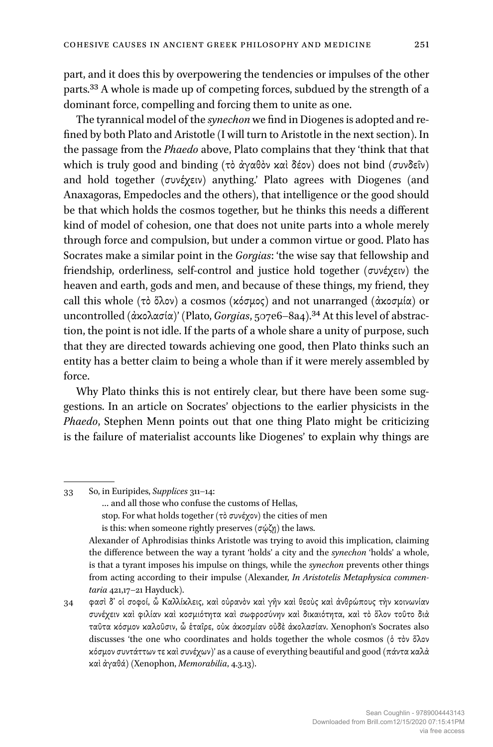part, and it does this by overpowering the tendencies or impulses of the other parts.33 A whole is made up of competing forces, subdued by the strength of a dominant force, compelling and forcing them to unite as one.

The tyrannical model of the *synechon* we find in Diogenes is adopted and refined by both Plato and Aristotle (I will turn to Aristotle in the next section). In the passage from the *Phaedo* above, Plato complains that they 'think that that which is truly good and binding (τὸ ἀγαθὸν καὶ δέον) does not bind (συνδεῖν) and hold together (συνέχειν) anything.' Plato agrees with Diogenes (and Anaxagoras, Empedocles and the others), that intelligence or the good should be that which holds the cosmos together, but he thinks this needs a different kind of model of cohesion, one that does not unite parts into a whole merely through force and compulsion, but under a common virtue or good. Plato has Socrates make a similar point in the *Gorgias*: 'the wise say that fellowship and friendship, orderliness, self-control and justice hold together (συνέχειν) the heaven and earth, gods and men, and because of these things, my friend, they call this whole (τὸ ὅλον) a cosmos (κόσμος) and not unarranged (ἀκοσμία) or uncontrolled (ἀκολασία)' (Plato, *Gorgias*, 507e6–8a4).<sup>34</sup> At this level of abstraction, the point is not idle. If the parts of a whole share a unity of purpose, such that they are directed towards achieving one good, then Plato thinks such an entity has a better claim to being a whole than if it were merely assembled by force.

Why Plato thinks this is not entirely clear, but there have been some suggestions. In an article on Socrates' objections to the earlier physicists in the *Phaedo*, Stephen Menn points out that one thing Plato might be criticizing is the failure of materialist accounts like Diogenes' to explain why things are

33 So, in Euripides, *Supplices* 311–14: … and all those who confuse the customs of Hellas, stop. For what holds together (τὸ συνέχον) the cities of men is this: when someone rightly preserves (σώζη) the laws.

 Alexander of Aphrodisias thinks Aristotle was trying to avoid this implication, claiming the difference between the way a tyrant 'holds' a city and the *synechon* 'holds' a whole, is that a tyrant imposes his impulse on things, while the *synechon* prevents other things from acting according to their impulse (Alexander, *In Aristotelis Metaphysica commentaria* 421,17–21 Hayduck).

34 φασὶ δ' οἱ σοφοί, ὦ Καλλίκλεις, καὶ οὐρανὸν καὶ γῆν καὶ θεοὺς καὶ ἀνθρώπους τὴν κοινωνίαν συνέχειν καὶ φιλίαν καὶ κοσμιότητα καὶ σωφροσύνην καὶ δικαιότητα, καὶ τὸ ὅλον τοῦτο διὰ ταῦτα κόσμον καλοῦσιν, ὦ ἑταῖρε, οὐκ ἀκοσμίαν οὐδὲ ἀκολασίαν. Xenophon's Socrates also discusses 'the one who coordinates and holds together the whole cosmos (ὁ τὸν ὅλον κόσμον συντάττων τε καὶ συνέχων)' as a cause of everything beautiful and good (πάντα καλὰ καὶ ἀγαθά) (Xenophon, *Memorabilia*, 4.3.13).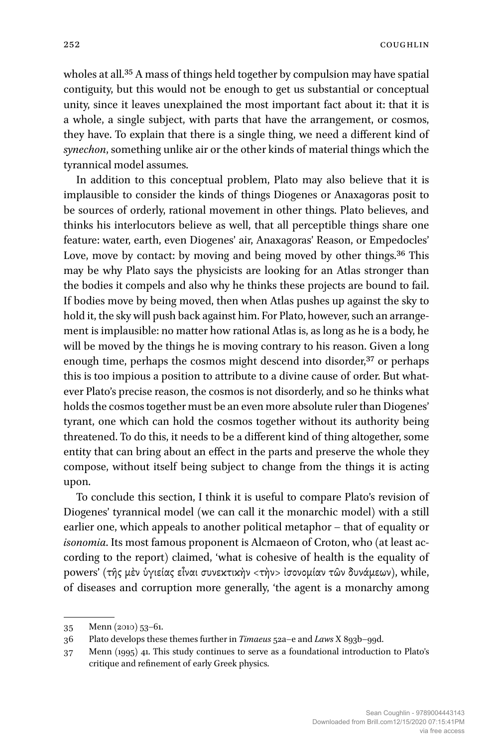wholes at all.<sup>35</sup> A mass of things held together by compulsion may have spatial contiguity, but this would not be enough to get us substantial or conceptual unity, since it leaves unexplained the most important fact about it: that it is a whole, a single subject, with parts that have the arrangement, or cosmos, they have. To explain that there is a single thing, we need a different kind of *synechon*, something unlike air or the other kinds of material things which the tyrannical model assumes.

In addition to this conceptual problem, Plato may also believe that it is implausible to consider the kinds of things Diogenes or Anaxagoras posit to be sources of orderly, rational movement in other things. Plato believes, and thinks his interlocutors believe as well, that all perceptible things share one feature: water, earth, even Diogenes' air, Anaxagoras' Reason, or Empedocles' Love, move by contact: by moving and being moved by other things.<sup>36</sup> This may be why Plato says the physicists are looking for an Atlas stronger than the bodies it compels and also why he thinks these projects are bound to fail. If bodies move by being moved, then when Atlas pushes up against the sky to hold it, the sky will push back against him. For Plato, however, such an arrangement is implausible: no matter how rational Atlas is, as long as he is a body, he will be moved by the things he is moving contrary to his reason. Given a long enough time, perhaps the cosmos might descend into disorder,<sup>37</sup> or perhaps this is too impious a position to attribute to a divine cause of order. But whatever Plato's precise reason, the cosmos is not disorderly, and so he thinks what holds the cosmos together must be an even more absolute ruler than Diogenes' tyrant, one which can hold the cosmos together without its authority being threatened. To do this, it needs to be a different kind of thing altogether, some entity that can bring about an effect in the parts and preserve the whole they compose, without itself being subject to change from the things it is acting upon.

To conclude this section, I think it is useful to compare Plato's revision of Diogenes' tyrannical model (we can call it the monarchic model) with a still earlier one, which appeals to another political metaphor – that of equality or *isonomia*. Its most famous proponent is Alcmaeon of Croton, who (at least according to the report) claimed, 'what is cohesive of health is the equality of powers' (τῆς μὲν ὑγιείας εἶναι συνεκτικὴν <τὴν> ἰσονομίαν τῶν δυνάμεων), while, of diseases and corruption more generally, 'the agent is a monarchy among

<sup>35</sup> Menn (2010) 53–61.

<sup>36</sup> Plato develops these themes further in *Timaeus* 52a–e and *Laws* X 893b–99d.

<sup>37</sup> Menn (1995) 41. This study continues to serve as a foundational introduction to Plato's critique and refinement of early Greek physics.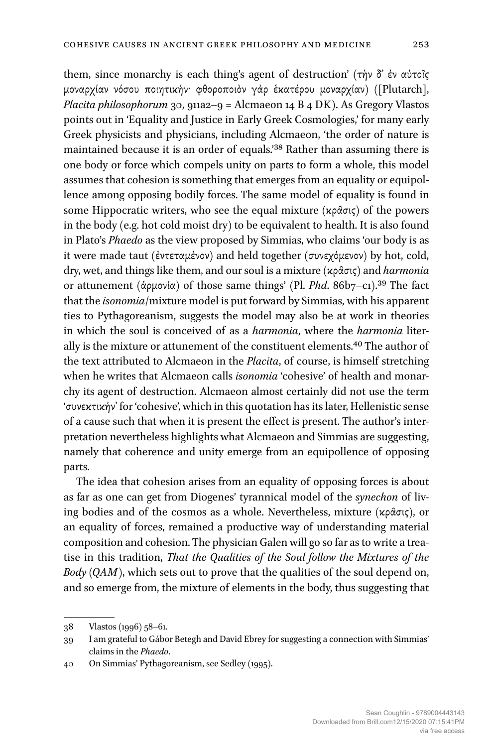μοναρχίαν νόσου ποιητικήν· φθοροποιὸν γὰρ ἑκατέρου μοναρχίαν) ([Plutarch], *Placita philosophorum* 30, 911a2–9 = Alcmaeon 14 B 4 DK). As Gregory Vlastos points out in 'Equality and Justice in Early Greek Cosmologies,' for many early Greek physicists and physicians, including Alcmaeon, 'the order of nature is maintained because it is an order of equals.'38 Rather than assuming there is one body or force which compels unity on parts to form a whole, this model assumes that cohesion is something that emerges from an equality or equipollence among opposing bodily forces. The same model of equality is found in some Hippocratic writers, who see the equal mixture (κρᾶσις) of the powers in the body (e.g. hot cold moist dry) to be equivalent to health. It is also found in Plato's *Phaedo* as the view proposed by Simmias, who claims 'our body is as it were made taut (ἐντεταμένον) and held together (συνεχόμενον) by hot, cold, dry, wet, and things like them, and our soul is a mixture (κρᾶσις) and *harmonia*  or attunement (ἁρμονία) of those same things' (Pl. *Phd*. 86b7–c1).39 The fact that the *isonomia*/mixture model is put forward by Simmias, with his apparent ties to Pythagoreanism, suggests the model may also be at work in theories in which the soul is conceived of as a *harmonia*, where the *harmonia* literally is the mixture or attunement of the constituent elements.40 The author of the text attributed to Alcmaeon in the *Placita*, of course, is himself stretching when he writes that Alcmaeon calls *isonomia* 'cohesive' of health and monarchy its agent of destruction. Alcmaeon almost certainly did not use the term 'συνεκτικήν' for 'cohesive', which in this quotation has its later, Hellenistic sense of a cause such that when it is present the effect is present. The author's interpretation nevertheless highlights what Alcmaeon and Simmias are suggesting, namely that coherence and unity emerge from an equipollence of opposing parts.

The idea that cohesion arises from an equality of opposing forces is about as far as one can get from Diogenes' tyrannical model of the *synechon* of living bodies and of the cosmos as a whole. Nevertheless, mixture (κρᾶσις), or an equality of forces, remained a productive way of understanding material composition and cohesion. The physician Galen will go so far as to write a treatise in this tradition, *That the Qualities of the Soul follow the Mixtures of the Body (QAM)*, which sets out to prove that the qualities of the soul depend on, and so emerge from, the mixture of elements in the body, thus suggesting that

<sup>38</sup> Vlastos (1996) 58–61.

<sup>39</sup> I am grateful to Gábor Betegh and David Ebrey for suggesting a connection with Simmias' claims in the *Phaedo*.

<sup>40</sup> On Simmias' Pythagoreanism, see Sedley (1995).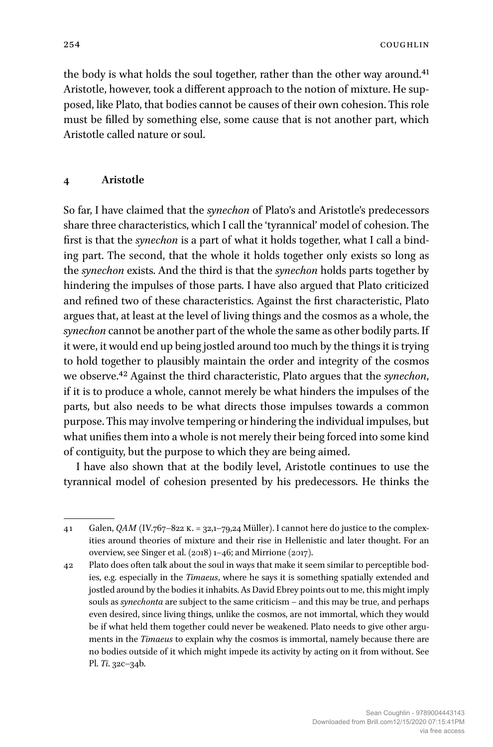the body is what holds the soul together, rather than the other way around.<sup>41</sup> Aristotle, however, took a different approach to the notion of mixture. He supposed, like Plato, that bodies cannot be causes of their own cohesion. This role must be filled by something else, some cause that is not another part, which Aristotle called nature or soul.

# **4 Aristotle**

So far, I have claimed that the *synechon* of Plato's and Aristotle's predecessors share three characteristics, which I call the 'tyrannical' model of cohesion. The first is that the *synechon* is a part of what it holds together, what I call a binding part. The second, that the whole it holds together only exists so long as the *synechon* exists. And the third is that the *synechon* holds parts together by hindering the impulses of those parts. I have also argued that Plato criticized and refined two of these characteristics. Against the first characteristic, Plato argues that, at least at the level of living things and the cosmos as a whole, the *synechon* cannot be another part of the whole the same as other bodily parts. If it were, it would end up being jostled around too much by the things it is trying to hold together to plausibly maintain the order and integrity of the cosmos we observe.42 Against the third characteristic, Plato argues that the *synechon*, if it is to produce a whole, cannot merely be what hinders the impulses of the parts, but also needs to be what directs those impulses towards a common purpose. This may involve tempering or hindering the individual impulses, but what unifies them into a whole is not merely their being forced into some kind of contiguity, but the purpose to which they are being aimed.

I have also shown that at the bodily level, Aristotle continues to use the tyrannical model of cohesion presented by his predecessors. He thinks the

<sup>41</sup> Galen, *QAM* (IV.767–822 K. = 32,1–79,24 Müller). I cannot here do justice to the complexities around theories of mixture and their rise in Hellenistic and later thought. For an overview, see Singer et al. (2018) 1–46; and Mirrione (2017).

<sup>42</sup> Plato does often talk about the soul in ways that make it seem similar to perceptible bodies, e.g. especially in the *Timaeus*, where he says it is something spatially extended and jostled around by the bodies it inhabits. As David Ebrey points out to me, this might imply souls as *synechonta* are subject to the same criticism – and this may be true, and perhaps even desired, since living things, unlike the cosmos, are not immortal, which they would be if what held them together could never be weakened. Plato needs to give other arguments in the *Timaeus* to explain why the cosmos is immortal, namely because there are no bodies outside of it which might impede its activity by acting on it from without. See Pl. *Ti*. 32c–34b.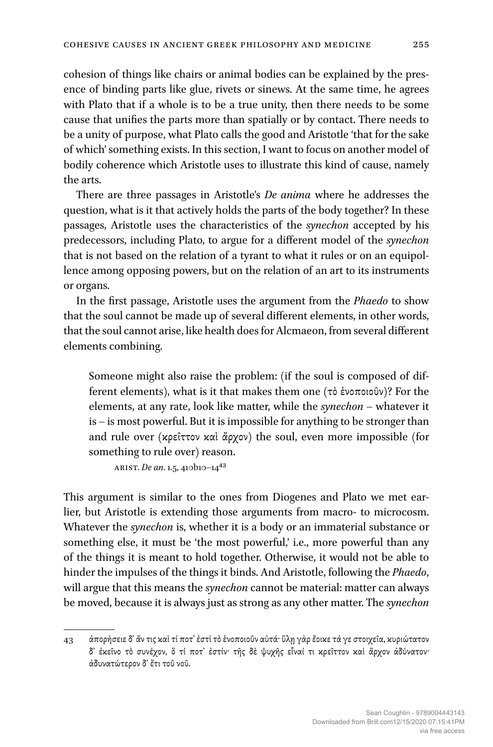cohesion of things like chairs or animal bodies can be explained by the presence of binding parts like glue, rivets or sinews. At the same time, he agrees with Plato that if a whole is to be a true unity, then there needs to be some cause that unifies the parts more than spatially or by contact. There needs to be a unity of purpose, what Plato calls the good and Aristotle 'that for the sake of which' something exists. In this section, I want to focus on another model of bodily coherence which Aristotle uses to illustrate this kind of cause, namely the arts.

There are three passages in Aristotle's *De anima* where he addresses the question, what is it that actively holds the parts of the body together? In these passages, Aristotle uses the characteristics of the *synechon* accepted by his predecessors, including Plato, to argue for a different model of the *synechon* that is not based on the relation of a tyrant to what it rules or on an equipollence among opposing powers, but on the relation of an art to its instruments or organs.

In the first passage, Aristotle uses the argument from the *Phaedo* to show that the soul cannot be made up of several different elements, in other words, that the soul cannot arise, like health does for Alcmaeon, from several different elements combining.

Someone might also raise the problem: (if the soul is composed of different elements), what is it that makes them one (τὸ ἑνοποιοῦν)? For the elements, at any rate, look like matter, while the *synechon* – whatever it is – is most powerful. But it is impossible for anything to be stronger than and rule over (κρεῖττον καὶ ἄρχον) the soul, even more impossible (for something to rule over) reason.

Arist. *De an*. 1.5, 410b10–1443

This argument is similar to the ones from Diogenes and Plato we met earlier, but Aristotle is extending those arguments from macro- to microcosm. Whatever the *synechon* is, whether it is a body or an immaterial substance or something else, it must be 'the most powerful,' i.e., more powerful than any of the things it is meant to hold together. Otherwise, it would not be able to hinder the impulses of the things it binds. And Aristotle, following the *Phaedo*, will argue that this means the *synechon* cannot be material: matter can always be moved, because it is always just as strong as any other matter. The *synechon*

<sup>43</sup> ἀπορήσειε δ' ἄν τις καὶ τί ποτ' ἐστὶ τὸ ἑνοποιοῦν αὐτά· ὕλῃ γὰρ ἔοικε τά γε στοιχεῖα, κυριώτατον δ' ἐκεῖνο τὸ συνέχον, ὅ τί ποτ' ἐστίν· τῆς δὲ ψυχῆς εἶναί τι κρεῖττον καὶ ἄρχον ἀδύνατον· ἀδυνατώτερον δ' ἔτι τοῦ νοῦ.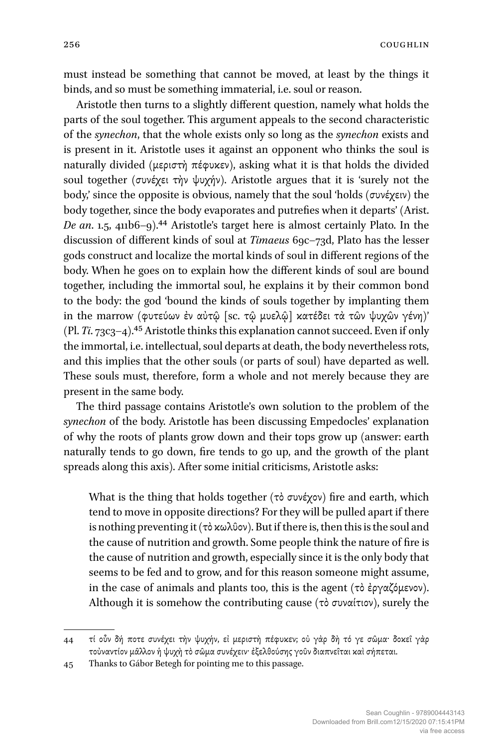must instead be something that cannot be moved, at least by the things it binds, and so must be something immaterial, i.e. soul or reason.

Aristotle then turns to a slightly different question, namely what holds the parts of the soul together. This argument appeals to the second characteristic of the *synechon*, that the whole exists only so long as the *synechon* exists and is present in it. Aristotle uses it against an opponent who thinks the soul is naturally divided (μεριστὴ πέφυκεν), asking what it is that holds the divided soul together (συνέχει τὴν ψυχήν). Aristotle argues that it is 'surely not the body,' since the opposite is obvious, namely that the soul 'holds (συνέχειν) the body together, since the body evaporates and putrefies when it departs' (Arist. *De an*. 1.5, 411b6–9).44 Aristotle's target here is almost certainly Plato. In the discussion of different kinds of soul at *Timaeus* 69c–73d, Plato has the lesser gods construct and localize the mortal kinds of soul in different regions of the body. When he goes on to explain how the different kinds of soul are bound together, including the immortal soul, he explains it by their common bond to the body: the god 'bound the kinds of souls together by implanting them in the marrow (φυτεύων ἐν αὐτῷ [sc. τῷ μυελῷ] κατέδει τὰ τῶν ψυχῶν γένη)' (Pl. *Ti*. 73c3–4).45 Aristotle thinks this explanation cannot succeed. Even if only the immortal, i.e. intellectual, soul departs at death, the body nevertheless rots, and this implies that the other souls (or parts of soul) have departed as well. These souls must, therefore, form a whole and not merely because they are present in the same body.

The third passage contains Aristotle's own solution to the problem of the *synechon* of the body. Aristotle has been discussing Empedocles' explanation of why the roots of plants grow down and their tops grow up (answer: earth naturally tends to go down, fire tends to go up, and the growth of the plant spreads along this axis). After some initial criticisms, Aristotle asks:

What is the thing that holds together (τὸ συνέχον) fire and earth, which tend to move in opposite directions? For they will be pulled apart if there is nothing preventing it (τὸ κωλῦον). But if there is, then this is the soul and the cause of nutrition and growth. Some people think the nature of fire is the cause of nutrition and growth, especially since it is the only body that seems to be fed and to grow, and for this reason someone might assume, in the case of animals and plants too, this is the agent (τὸ ἐργαζόμενον). Although it is somehow the contributing cause (τὸ συναίτιον), surely the

<sup>44</sup> τί οὖν δή ποτε συνέχει τὴν ψυχήν, εἰ μεριστὴ πέφυκεν; οὐ γὰρ δὴ τό γε σῶμα· δοκεῖ γὰρ τοὐναντίον μᾶλλον ἡ ψυχὴ τὸ σῶμα συνέχειν· ἐξελθούσης γοῦν διαπνεῖται καὶ σήπεται.

<sup>45</sup> Thanks to Gábor Betegh for pointing me to this passage.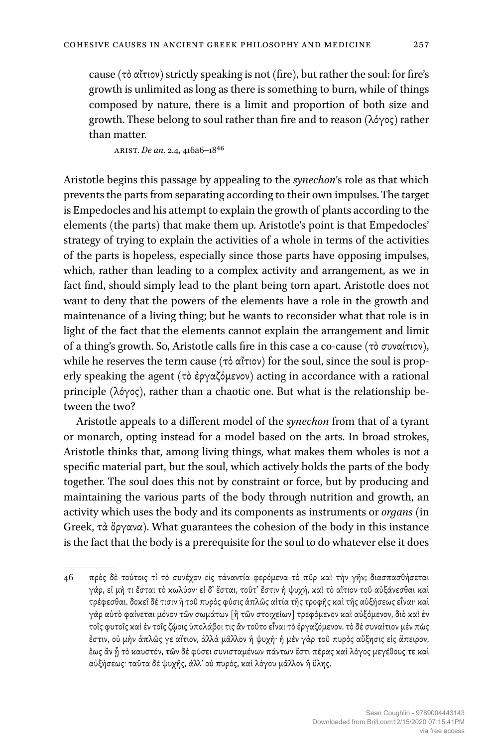cause (τὸ αἴτιον) strictly speaking is not (fire), but rather the soul: for fire's growth is unlimited as long as there is something to burn, while of things composed by nature, there is a limit and proportion of both size and growth. These belong to soul rather than fire and to reason (λόγος) rather than matter.

Arist. *De an*. 2.4, 416a6–1846

Aristotle begins this passage by appealing to the *synechon*'s role as that which prevents the parts from separating according to their own impulses. The target is Empedocles and his attempt to explain the growth of plants according to the elements (the parts) that make them up. Aristotle's point is that Empedocles' strategy of trying to explain the activities of a whole in terms of the activities of the parts is hopeless, especially since those parts have opposing impulses, which, rather than leading to a complex activity and arrangement, as we in fact find, should simply lead to the plant being torn apart. Aristotle does not want to deny that the powers of the elements have a role in the growth and maintenance of a living thing; but he wants to reconsider what that role is in light of the fact that the elements cannot explain the arrangement and limit of a thing's growth. So, Aristotle calls fire in this case a co-cause (τὸ συναίτιον), while he reserves the term cause (τὸ αἴτιον) for the soul, since the soul is properly speaking the agent (τὸ ἐργαζόμενον) acting in accordance with a rational principle (λόγος), rather than a chaotic one. But what is the relationship between the two?

Aristotle appeals to a different model of the *synechon* from that of a tyrant or monarch, opting instead for a model based on the arts. In broad strokes, Aristotle thinks that, among living things, what makes them wholes is not a specific material part, but the soul, which actively holds the parts of the body together. The soul does this not by constraint or force, but by producing and maintaining the various parts of the body through nutrition and growth, an activity which uses the body and its components as instruments or *organs* (in Greek, τὰ ὄργανα). What guarantees the cohesion of the body in this instance is the fact that the body is a prerequisite for the soul to do whatever else it does

<sup>46</sup> πρὸς δὲ τούτοις τί τὸ συνέχον εἰς τἀναντία φερόμενα τὸ πῦρ καὶ τὴν γῆν; διασπασθήσεται γάρ, εἰ μή τι ἔσται τὸ κωλύον· εἰ δ' ἔσται, τοῦτ' ἔστιν ἡ ψυχή, καὶ τὸ αἴτιον τοῦ αὐξάνεσθαι καὶ τρέφεσθαι. δοκεῖ δέ τισιν ἡ τοῦ πυρὸς φύσις ἁπλῶς αἰτία τῆς τροφῆς καὶ τῆς αὐξήσεως εἶναι· καὶ γὰρ αὐτὸ φαίνεται μόνον τῶν σωμάτων [ἢ τῶν στοιχείων] τρεφόμενον καὶ αὐξόμενον, διὸ καὶ ἐν τοῖς φυτοῖς καὶ ἐν τοῖς ζῴοις ὑπολάβοι τις ἂν τοῦτο εἶναι τὸ ἐργαζόμενον. τὸ δὲ συναίτιον μέν πώς ἐστιν, οὐ μὴν ἁπλῶς γε αἴτιον, ἀλλὰ μᾶλλον ἡ ψυχή· ἡ μὲν γὰρ τοῦ πυρὸς αὔξησις εἰς ἄπειρον, ἕως ἂν ᾖ τὸ καυστόν, τῶν δὲ φύσει συνισταμένων πάντων ἔστι πέρας καὶ λόγος μεγέθους τε καὶ αὐξήσεως· ταῦτα δὲ ψυχῆς, ἀλλ' οὐ πυρός, καὶ λόγου μᾶλλον ἢ ὕλης.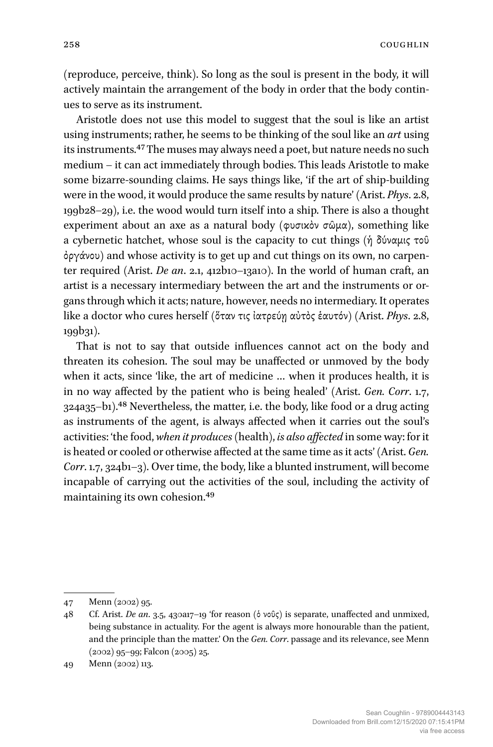258 COUGHLIN

(reproduce, perceive, think). So long as the soul is present in the body, it will actively maintain the arrangement of the body in order that the body continues to serve as its instrument.

Aristotle does not use this model to suggest that the soul is like an artist using instruments; rather, he seems to be thinking of the soul like an *art* using its instruments.47 The muses may always need a poet, but nature needs no such medium – it can act immediately through bodies. This leads Aristotle to make some bizarre-sounding claims. He says things like, 'if the art of ship-building were in the wood, it would produce the same results by nature' (Arist. *Phys*. 2.8, 199b28–29), i.e. the wood would turn itself into a ship. There is also a thought experiment about an axe as a natural body (φυσικὸν σῶμα), something like a cybernetic hatchet, whose soul is the capacity to cut things (ἡ δύναμις τοῦ ὀργάνου) and whose activity is to get up and cut things on its own, no carpenter required (Arist. *De an*. 2.1, 412b10–13a10). In the world of human craft, an artist is a necessary intermediary between the art and the instruments or organs through which it acts; nature, however, needs no intermediary. It operates like a doctor who cures herself (ὅταν τις ἰατρεύῃ αὐτὸς ἑαυτόν) (Arist. *Phys*. 2.8, 199b31).

That is not to say that outside influences cannot act on the body and threaten its cohesion. The soul may be unaffected or unmoved by the body when it acts, since 'like, the art of medicine ... when it produces health, it is in no way affected by the patient who is being healed' (Arist. *Gen. Corr*. 1.7, 324a35–b1).48 Nevertheless, the matter, i.e. the body, like food or a drug acting as instruments of the agent, is always affected when it carries out the soul's activities: 'the food, *when it produces* (health), *is also affected* in some way: for it is heated or cooled or otherwise affected at the same time as it acts' (Arist. *Gen. Corr*. 1.7, 324b1–3). Over time, the body, like a blunted instrument, will become incapable of carrying out the activities of the soul, including the activity of maintaining its own cohesion.49

<sup>47</sup> Menn (2002) 95.

<sup>48</sup> Cf. Arist. *De an*. 3.5, 430a17–19 'for reason (ὁ νοῦς) is separate, unaffected and unmixed, being substance in actuality. For the agent is always more honourable than the patient, and the principle than the matter.' On the *Gen. Corr*. passage and its relevance, see Menn (2002) 95–99; Falcon (2005) 25.

<sup>49</sup> Menn (2002) 113.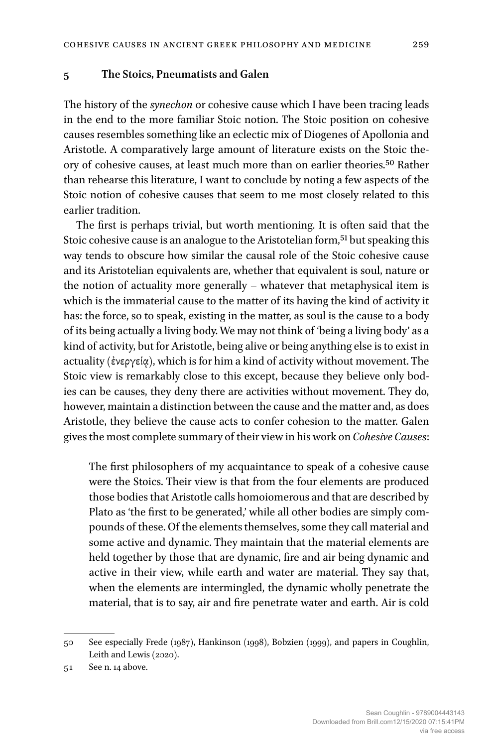## **5 The Stoics, Pneumatists and Galen**

The history of the *synechon* or cohesive cause which I have been tracing leads in the end to the more familiar Stoic notion. The Stoic position on cohesive causes resembles something like an eclectic mix of Diogenes of Apollonia and Aristotle. A comparatively large amount of literature exists on the Stoic theory of cohesive causes, at least much more than on earlier theories.50 Rather than rehearse this literature, I want to conclude by noting a few aspects of the Stoic notion of cohesive causes that seem to me most closely related to this earlier tradition.

The first is perhaps trivial, but worth mentioning. It is often said that the Stoic cohesive cause is an analogue to the Aristotelian form,<sup>51</sup> but speaking this way tends to obscure how similar the causal role of the Stoic cohesive cause and its Aristotelian equivalents are, whether that equivalent is soul, nature or the notion of actuality more generally – whatever that metaphysical item is which is the immaterial cause to the matter of its having the kind of activity it has: the force, so to speak, existing in the matter, as soul is the cause to a body of its being actually a living body. We may not think of 'being a living body' as a kind of activity, but for Aristotle, being alive or being anything else is to exist in actuality (ἐνεργείᾳ), which is for him a kind of activity without movement. The Stoic view is remarkably close to this except, because they believe only bodies can be causes, they deny there are activities without movement. They do, however, maintain a distinction between the cause and the matter and, as does Aristotle, they believe the cause acts to confer cohesion to the matter. Galen gives the most complete summary of their view in his work on *Cohesive Causes*:

The first philosophers of my acquaintance to speak of a cohesive cause were the Stoics. Their view is that from the four elements are produced those bodies that Aristotle calls homoiomerous and that are described by Plato as 'the first to be generated,' while all other bodies are simply compounds of these. Of the elements themselves, some they call material and some active and dynamic. They maintain that the material elements are held together by those that are dynamic, fire and air being dynamic and active in their view, while earth and water are material. They say that, when the elements are intermingled, the dynamic wholly penetrate the material, that is to say, air and fire penetrate water and earth. Air is cold

<sup>50</sup> See especially Frede (1987), Hankinson (1998), Bobzien (1999), and papers in Coughlin, Leith and Lewis (2020).

<sup>51</sup> See n. 14 above.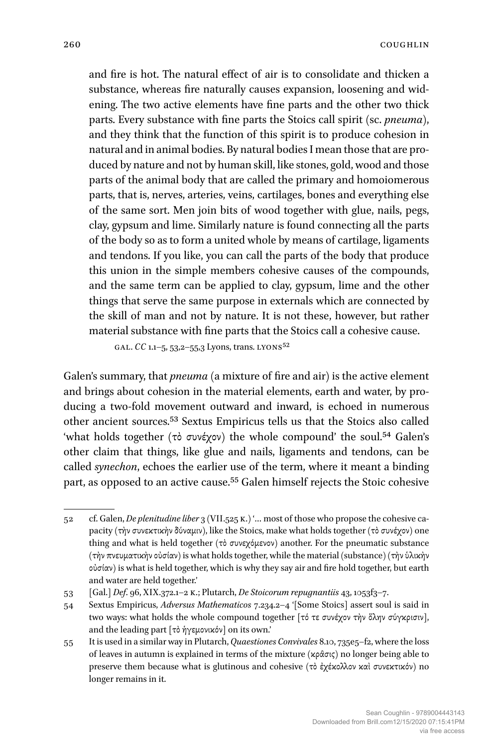and fire is hot. The natural effect of air is to consolidate and thicken a substance, whereas fire naturally causes expansion, loosening and widening. The two active elements have fine parts and the other two thick parts. Every substance with fine parts the Stoics call spirit (sc. *pneuma*), and they think that the function of this spirit is to produce cohesion in natural and in animal bodies. By natural bodies I mean those that are produced by nature and not by human skill, like stones, gold, wood and those parts of the animal body that are called the primary and homoiomerous parts, that is, nerves, arteries, veins, cartilages, bones and everything else of the same sort. Men join bits of wood together with glue, nails, pegs, clay, gypsum and lime. Similarly nature is found connecting all the parts of the body so as to form a united whole by means of cartilage, ligaments and tendons. If you like, you can call the parts of the body that produce this union in the simple members cohesive causes of the compounds, and the same term can be applied to clay, gypsum, lime and the other things that serve the same purpose in externals which are connected by the skill of man and not by nature. It is not these, however, but rather material substance with fine parts that the Stoics call a cohesive cause.

GAL. *CC* 1.1–5, 53,2–55,3 Lyons, trans. LYONS<sup>52</sup>

Galen's summary, that *pneuma* (a mixture of fire and air) is the active element and brings about cohesion in the material elements, earth and water, by producing a two-fold movement outward and inward, is echoed in numerous other ancient sources.53 Sextus Empiricus tells us that the Stoics also called 'what holds together (τὸ συνέχον) the whole compound' the soul.54 Galen's other claim that things, like glue and nails, ligaments and tendons, can be called *synechon*, echoes the earlier use of the term, where it meant a binding part, as opposed to an active cause.<sup>55</sup> Galen himself rejects the Stoic cohesive

<sup>52</sup> cf. Galen, *De plenitudine liber* 3 (VII.525 K.) '… most of those who propose the cohesive capacity (τὴν συνεκτικὴν δύναμιν), like the Stoics, make what holds together (τὸ συνέχον) one thing and what is held together (τὸ συνεχόμενον) another. For the pneumatic substance (τὴν πνευματικὴν οὐσίαν) is what holds together, while the material (substance) (τὴν ὑλικὴν οὐσίαν) is what is held together, which is why they say air and fire hold together, but earth and water are held together.'

<sup>53 [</sup>Gal.] *Def*. 96, XIX.372.1–2 K.; Plutarch, *De Stoicorum repugnantiis* 43, 1053f3–7.

<sup>54</sup> Sextus Empiricus, *Adversus Mathematicos* 7.234.2–4 '[Some Stoics] assert soul is said in two ways: what holds the whole compound together [τό τε συνέχον τὴν ὅλην σύγκρισιν], and the leading part [τὸ ἡγεμονικόν] on its own.'

<sup>55</sup> It is used in a similar way in Plutarch, *Quaestiones Convivales* 8.10, 735e5–f2, where the loss of leaves in autumn is explained in terms of the mixture (κρᾶσις) no longer being able to preserve them because what is glutinous and cohesive (τὸ ἐχέκολλον καὶ συνεκτικόν) no longer remains in it.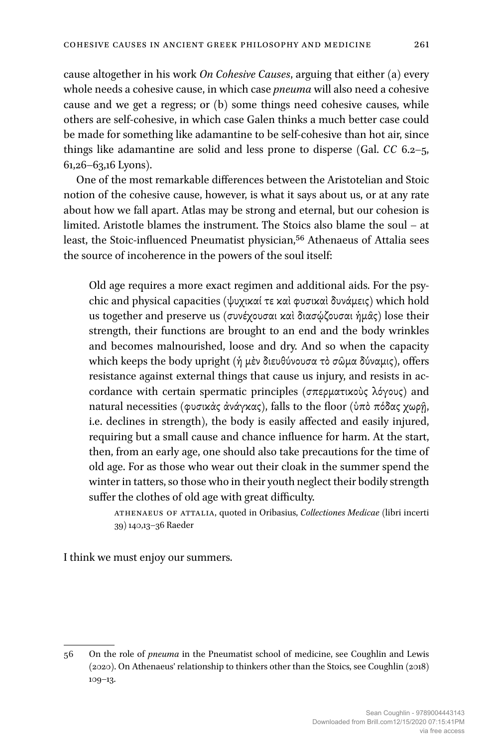cause altogether in his work *On Cohesive Causes*, arguing that either (a) every whole needs a cohesive cause, in which case *pneuma* will also need a cohesive cause and we get a regress; or (b) some things need cohesive causes, while others are self-cohesive, in which case Galen thinks a much better case could be made for something like adamantine to be self-cohesive than hot air, since things like adamantine are solid and less prone to disperse (Gal. *CC* 6.2–5, 61,26–63,16 Lyons).

One of the most remarkable differences between the Aristotelian and Stoic notion of the cohesive cause, however, is what it says about us, or at any rate about how we fall apart. Atlas may be strong and eternal, but our cohesion is limited. Aristotle blames the instrument. The Stoics also blame the soul – at least, the Stoic-influenced Pneumatist physician,<sup>56</sup> Athenaeus of Attalia sees the source of incoherence in the powers of the soul itself:

Old age requires a more exact regimen and additional aids. For the psychic and physical capacities (ψυχικαί τε καὶ φυσικαὶ δυνάμεις) which hold us together and preserve us (συνέχουσαι καὶ διασώζουσαι ήμᾶς) lose their strength, their functions are brought to an end and the body wrinkles and becomes malnourished, loose and dry. And so when the capacity which keeps the body upright (ἡ μὲν διευθύνουσα τὸ σῶμα δύναμις), offers resistance against external things that cause us injury, and resists in accordance with certain spermatic principles (σπερματικοὺς λόγους) and natural necessities (φυσικὰς ἀνάγκας), falls to the floor (ὑπὸ πόδας χωρῇ, i.e. declines in strength), the body is easily affected and easily injured, requiring but a small cause and chance influence for harm. At the start, then, from an early age, one should also take precautions for the time of old age. For as those who wear out their cloak in the summer spend the winter in tatters, so those who in their youth neglect their bodily strength suffer the clothes of old age with great difficulty.

Athenaeus of Attalia, quoted in Oribasius, *Collectiones Medicae* (libri incerti 39) 140,13–36 Raeder

I think we must enjoy our summers.

<sup>56</sup> On the role of *pneuma* in the Pneumatist school of medicine, see Coughlin and Lewis (2020). On Athenaeus' relationship to thinkers other than the Stoics, see Coughlin (2018) 109–13.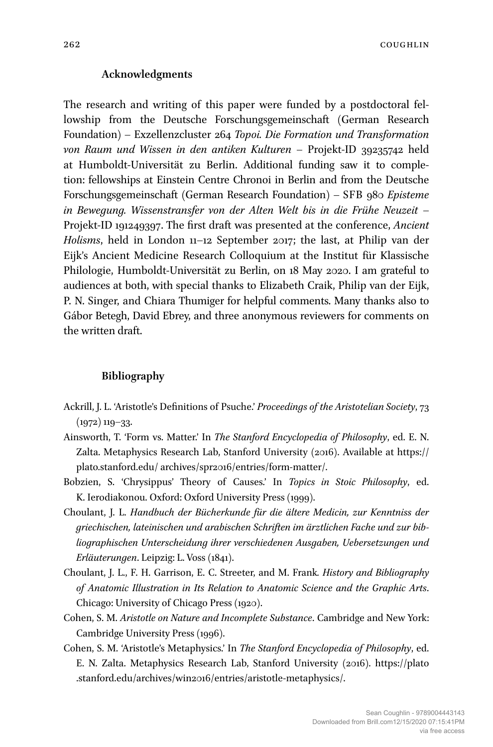262 COUGHLIN

#### **Acknowledgments**

The research and writing of this paper were funded by a postdoctoral fellowship from the Deutsche Forschungsgemeinschaft (German Research Foundation) – Exzellenzcluster 264 *Topoi. Die Formation und Transformation von Raum und Wissen in den antiken Kulturen* – Projekt-ID 39235742 held at Humboldt-Universität zu Berlin. Additional funding saw it to completion: fellowships at Einstein Centre Chronoi in Berlin and from the Deutsche Forschungsgemeinschaft (German Research Foundation) – SFB 980 *Episteme in Bewegung. Wissenstransfer von der Alten Welt bis in die Frühe Neuzeit* – Projekt-ID 191249397. The first draft was presented at the conference, *Ancient Holisms*, held in London 11–12 September 2017; the last, at Philip van der Eijk's Ancient Medicine Research Colloquium at the Institut für Klassische Philologie, Humboldt-Universität zu Berlin, on 18 May 2020. I am grateful to audiences at both, with special thanks to Elizabeth Craik, Philip van der Eijk, P. N. Singer, and Chiara Thumiger for helpful comments. Many thanks also to Gábor Betegh, David Ebrey, and three anonymous reviewers for comments on the written draft.

## **Bibliography**

- Ackrill, J. L. 'Aristotle's Definitions of Psuche.' *Proceedings of the Aristotelian Society*, 73 (1972) 119–33.
- Ainsworth, T. 'Form vs. Matter.' In *The Stanford Encyclopedia of Philosophy*, ed. E. N. Zalta. Metaphysics Research Lab, Stanford University (2016). Available at [https://](https://plato.stanford.edu/archives/spr2016/entries/form-matter/) [plato.stanford.edu/ archives/spr2016/entries/form-matter/](https://plato.stanford.edu/archives/spr2016/entries/form-matter/).
- Bobzien, S. 'Chrysippus' Theory of Causes.' In *Topics in Stoic Philosophy*, ed. K. Ierodiakonou. Oxford: Oxford University Press (1999).
- Choulant, J. L. *Handbuch der Bücherkunde für die ältere Medicin, zur Kenntniss der griechischen, lateinischen und arabischen Schriften im ärztlichen Fache und zur bibliographischen Unterscheidung ihrer verschiedenen Ausgaben, Uebersetzungen und Erläuterungen*. Leipzig: L. Voss (1841).
- Choulant, J. L., F. H. Garrison, E. C. Streeter, and M. Frank*. History and Bibliography of Anatomic Illustration in Its Relation to Anatomic Science and the Graphic Arts*. Chicago: University of Chicago Press (1920).
- Cohen, S. M. *Aristotle on Nature and Incomplete Substance*. Cambridge and New York: Cambridge University Press (1996).
- Cohen, S. M. 'Aristotle's Metaphysics.' In *The Stanford Encyclopedia of Philosophy*, ed. E. N. Zalta. Metaphysics Research Lab, Stanford University (2016). [https://plato](https://plato.stanford.edu/) [.stanford.edu/archives/win2016/entries/aristotle-metaphysics/](https://plato.stanford.edu/).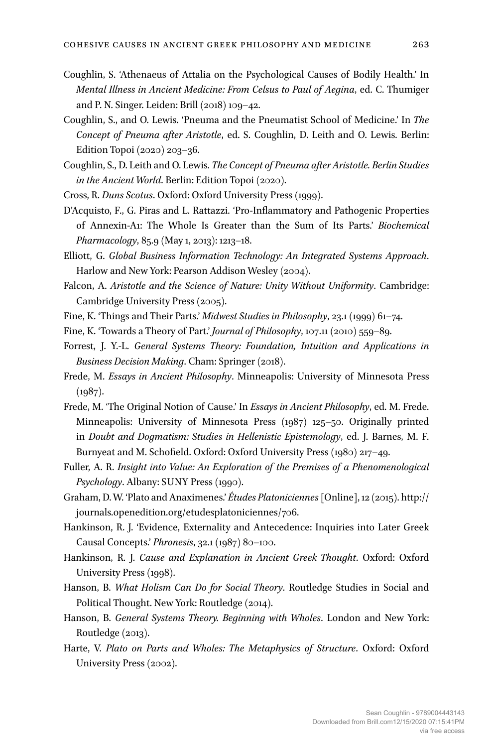- Coughlin, S. 'Athenaeus of Attalia on the Psychological Causes of Bodily Health.' In *Mental Illness in Ancient Medicine: From Celsus to Paul of Aegina*, ed. C. Thumiger and P. N. Singer. Leiden: Brill (2018) 109–42.
- Coughlin, S., and O. Lewis. 'Pneuma and the Pneumatist School of Medicine.' In *The Concept of Pneuma after Aristotle*, ed. S. Coughlin, D. Leith and O. Lewis. Berlin: Edition Topoi (2020) 203–36.
- Coughlin, S., D. Leith and O. Lewis. *The Concept of Pneuma after Aristotle. Berlin Studies in the Ancient World*. Berlin: Edition Topoi (2020).
- Cross, R. *Duns Scotus*. Oxford: Oxford University Press (1999).
- D'Acquisto, F., G. Piras and L. Rattazzi. 'Pro-Inflammatory and Pathogenic Properties of Annexin-A1: The Whole Is Greater than the Sum of Its Parts.' *Biochemical Pharmacology*, 85.9 (May 1, 2013): 1213–18.
- Elliott, G. *Global Business Information Technology: An Integrated Systems Approach*. Harlow and New York: Pearson Addison Wesley (2004).
- Falcon, A. *Aristotle and the Science of Nature: Unity Without Uniformity*. Cambridge: Cambridge University Press (2005).
- Fine, K. 'Things and Their Parts.' *Midwest Studies in Philosophy*, 23.1 (1999) 61–74.
- Fine, K. 'Towards a Theory of Part.' *Journal of Philosophy*, 107.11 (2010) 559–89.
- Forrest, J. Y.-L. *General Systems Theory: Foundation, Intuition and Applications in Business Decision Making*. Cham: Springer (2018).
- Frede, M. *Essays in Ancient Philosophy*. Minneapolis: University of Minnesota Press  $(1987)$ .
- Frede, M. 'The Original Notion of Cause.' In *Essays in Ancient Philosophy*, ed. M. Frede. Minneapolis: University of Minnesota Press (1987) 125–50. Originally printed in *Doubt and Dogmatism: Studies in Hellenistic Epistemology*, ed. J. Barnes, M. F. Burnyeat and M. Schofield. Oxford: Oxford University Press (1980) 217–49.
- Fuller, A. R. *Insight into Value: An Exploration of the Premises of a Phenomenological Psychology*. Albany: SUNY Press (1990).
- Graham, D. W. 'Plato and Anaximenes.' *Études Platoniciennes* [Online], 12 (2015). [http://](https://plato.stanford.edu/) [journals.openedition.org/etudesplatoniciennes/706.](https://plato.stanford.edu/)
- Hankinson, R. J. 'Evidence, Externality and Antecedence: Inquiries into Later Greek Causal Concepts.' *Phronesis*, 32.1 (1987) 80–100.
- Hankinson, R. J. *Cause and Explanation in Ancient Greek Thought*. Oxford: Oxford University Press (1998).
- Hanson, B. *What Holism Can Do for Social Theory*. Routledge Studies in Social and Political Thought. New York: Routledge (2014).
- Hanson, B. *General Systems Theory. Beginning with Wholes*. London and New York: Routledge (2013).
- Harte, V. *Plato on Parts and Wholes: The Metaphysics of Structure*. Oxford: Oxford University Press (2002).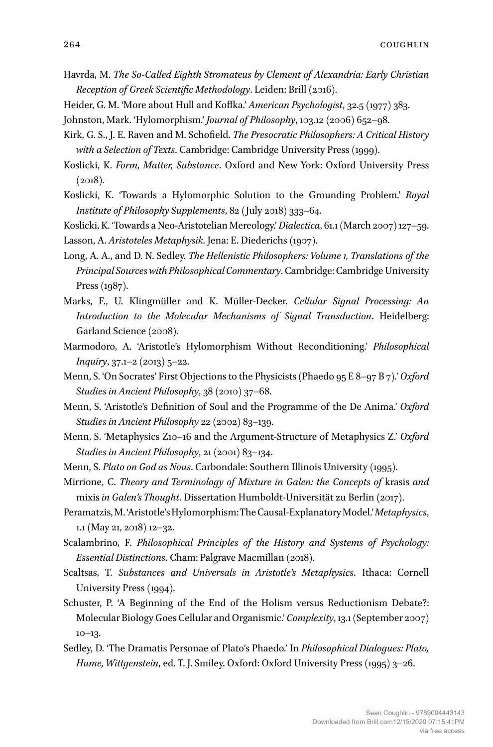- Havrda, M. *The So-Called Eighth Stromateus by Clement of Alexandria: Early Christian Reception of Greek Scientific Methodology*. Leiden: Brill (2016).
- Heider, G. M. 'More about Hull and Koffka.' *American Psychologist*, 32.5 (1977) 383.
- Johnston, Mark. 'Hylomorphism.' *Journal of Philosophy*, 103.12 (2006) 652–98.
- Kirk, G. S., J. E. Raven and M. Schofield. *The Presocratic Philosophers: A Critical History with a Selection of Texts*. Cambridge: Cambridge University Press (1999).
- Koslicki, K. *Form, Matter, Substance*. Oxford and New York: Oxford University Press  $(2018).$
- Koslicki, K. 'Towards a Hylomorphic Solution to the Grounding Problem.' *Royal Institute of Philosophy Supplements*, 82 (July 2018) 333–64.
- Koslicki, K. 'Towards a Neo-Aristotelian Mereology.' *Dialectica*, 61.1 (March 2007) 127–59. Lasson, A. *Aristoteles Metaphysik*. Jena: E. Diederichs (1907).
- Long, A. A., and D. N. Sedley. *The Hellenistic Philosophers: Volume 1, Translations of the Principal Sources with Philosophical Commentary*. Cambridge: Cambridge University Press (1987).
- Marks, F., U. Klingmüller and K. Müller-Decker. *Cellular Signal Processing: An Introduction to the Molecular Mechanisms of Signal Transduction*. Heidelberg: Garland Science (2008).
- Marmodoro, A. 'Aristotle's Hylomorphism Without Reconditioning.' *Philosophical Inquiry*, 37.1–2 (2013) 5–22.
- Menn, S. 'On Socrates' First Objections to the Physicists (Phaedo 95 E 8–97 B 7).' *Oxford Studies in Ancient Philosophy*, 38 (2010) 37–68.
- Menn, S. 'Aristotle's Definition of Soul and the Programme of the De Anima.' *Oxford Studies in Ancient Philosophy* 22 (2002) 83–139.
- Menn, S. 'Metaphysics Z10–16 and the Argument-Structure of Metaphysics Z.' *Oxford Studies in Ancient Philosophy*, 21 (2001) 83–134.
- Menn, S. *Plato on God as Nous*. Carbondale: Southern Illinois University (1995).
- Mirrione, C. *Theory and Terminology of Mixture in Galen: the Concepts of* krasis *and*  mixis *in Galen's Thought*. Dissertation Humboldt-Universität zu Berlin (2017).
- Peramatzis, M. 'Aristotle's Hylomorphism: The Causal-Explanatory Model.' *Metaphysics*, 1.1 (May 21, 2018) 12–32.
- Scalambrino, F. *Philosophical Principles of the History and Systems of Psychology: Essential Distinctions*. Cham: Palgrave Macmillan (2018).
- Scaltsas, T. *Substances and Universals in Aristotle's Metaphysics*. Ithaca: Cornell University Press (1994).
- Schuster, P. 'A Beginning of the End of the Holism versus Reductionism Debate?: Molecular Biology Goes Cellular and Organismic.' *Complexity*, 13.1 (September 2007) 10–13.
- Sedley, D. 'The Dramatis Personae of Plato's Phaedo.' In *Philosophical Dialogues: Plato, Hume, Wittgenstein*, ed. T. J. Smiley. Oxford: Oxford University Press (1995) 3–26.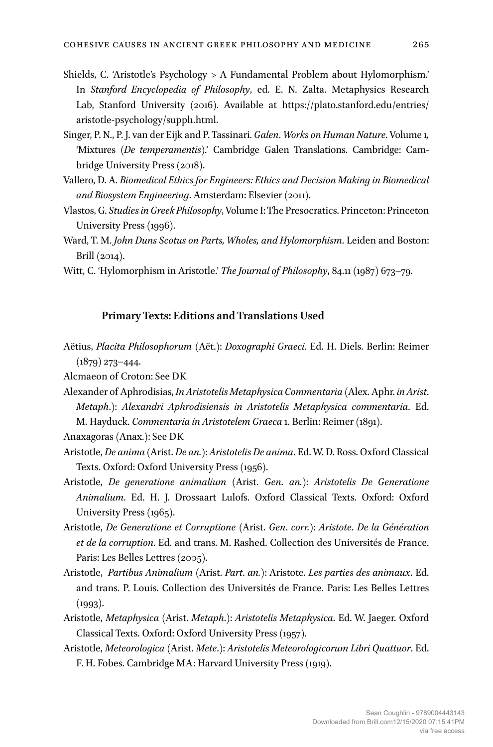- Shields, C. 'Aristotle's Psychology > A Fundamental Problem about Hylomorphism.' In *Stanford Encyclopedia of Philosophy*, ed. E. N. Zalta. Metaphysics Research Lab, Stanford University (2016). Available at [https://plato.stanford.edu/entries/](https://plato.stanford.edu/) [aristotle-psychology/suppl1.html.](https://plato.stanford.edu/)
- Singer, P. N., P. J. van der Eijk and P. Tassinari. *Galen*. *Works on Human Nature*. Volume 1*,* 'Mixtures (*De temperamentis*).' Cambridge Galen Translations. Cambridge: Cambridge University Press (2018).
- Vallero, D. A. *Biomedical Ethics for Engineers: Ethics and Decision Making in Biomedical and Biosystem Engineering*. Amsterdam: Elsevier (2011).
- Vlastos, G. *Studies in Greek Philosophy*, Volume I: The Presocratics. Princeton: Princeton University Press (1996).
- Ward, T. M. *John Duns Scotus on Parts, Wholes, and Hylomorphism*. Leiden and Boston: Brill (2014).
- Witt, C. 'Hylomorphism in Aristotle.' *The Journal of Philosophy*, 84.11 (1987) 673–79.

#### **Primary Texts: Editions and Translations Used**

Aëtius, *Placita Philosophorum* (Aët.): *Doxographi Graeci*. Ed. H. Diels. Berlin: Reimer  $(1879)$  273-444.

Alcmaeon of Croton: See DK

Alexander of Aphrodisias, *In Aristotelis Metaphysica Commentaria* (Alex. Aphr. *in Arist*. *Metaph*.): *Alexandri Aphrodisiensis in Aristotelis Metaphysica commentaria*. Ed. M. Hayduck. *Commentaria in Aristotelem Graeca* 1. Berlin: Reimer (1891).

Anaxagoras (Anax.): See DK

- Aristotle, *De anima* (Arist. *De an.*): *Aristotelis De anima*. Ed. W. D. Ross. Oxford Classical Texts. Oxford: Oxford University Press (1956).
- Aristotle, *De generatione animalium* (Arist. *Gen*. *an.*): *Aristotelis De Generatione Animalium*. Ed. H. J. Drossaart Lulofs. Oxford Classical Texts. Oxford: Oxford University Press (1965).
- Aristotle, *De Generatione et Corruptione* (Arist. *Gen*. *corr.*): *Aristote*. *De la Génération et de la corruption*. Ed. and trans. M. Rashed. Collection des Universités de France. Paris: Les Belles Lettres (2005).
- Aristotle, *Partibus Animalium* (Arist. *Part*. *an.*): Aristote. *Les parties des animaux*. Ed. and trans. P. Louis. Collection des Universités de France. Paris: Les Belles Lettres  $(1993)$ .
- Aristotle, *Metaphysica* (Arist. *Metaph*.): *Aristotelis Metaphysica*. Ed. W. Jaeger. Oxford Classical Texts. Oxford: Oxford University Press (1957).
- Aristotle, *Meteorologica* (Arist. *Mete*.): *Aristotelis Meteorologicorum Libri Quattuor*. Ed. F. H. Fobes. Cambridge MA: Harvard University Press (1919).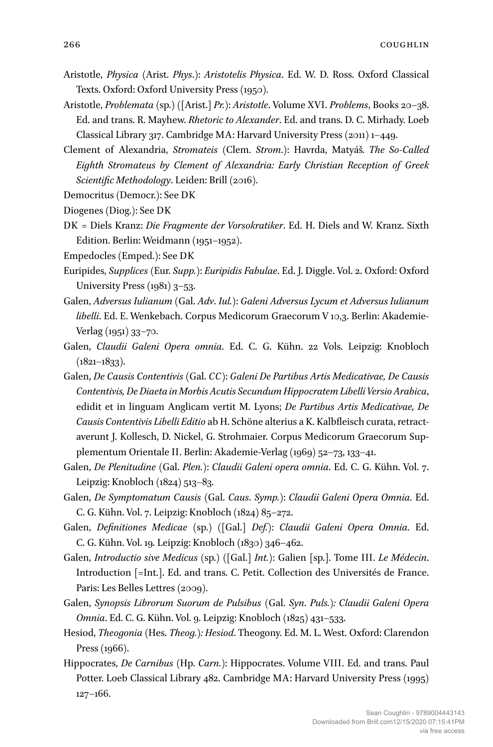- Aristotle, *Physica* (Arist. *Phys*.): *Aristotelis Physica*. Ed. W. D. Ross. Oxford Classical Texts. Oxford: Oxford University Press (1950).
- Aristotle, *Problemata* (sp.) ([Arist.] *Pr.*): *Aristotle*. Volume XVI. *Problems*, Books 20–38. Ed. and trans. R. Mayhew. *Rhetoric to Alexander*. Ed. and trans. D. C. Mirhady. Loeb Classical Library 317. Cambridge MA: Harvard University Press (2011) 1–449.
- Clement of Alexandria, *Stromateis* (Clem. *Strom*.): Havrda, Matyáš*. The So-Called Eighth Stromateus by Clement of Alexandria: Early Christian Reception of Greek Scientific Methodology*. Leiden: Brill (2016).
- Democritus (Democr.): See DK
- Diogenes (Diog.): See DK
- DK = Diels Kranz: *Die Fragmente der Vorsokratiker*. Ed. H. Diels and W. Kranz. Sixth Edition. Berlin: Weidmann (1951–1952).
- Empedocles (Emped.): See DK
- Euripides, *Supplices* (Eur. *Supp.*): *Euripidis Fabulae*. Ed. J. Diggle. Vol. 2. Oxford: Oxford University Press (1981) 3–53.
- Galen, *Adversus Iulianum* (Gal. *Adv*. *Iul.*): *Galeni Adversus Lycum et Adversus Iulianum libelli*. Ed. E. Wenkebach. Corpus Medicorum Graecorum V 10,3. Berlin: Akademie-Verlag (1951) 33–70.
- Galen, *Claudii Galeni Opera omnia*. Ed. C. G. Kühn. 22 Vols. Leipzig: Knobloch  $(1821-1833)$ .
- Galen, *De Causis Contentivis* (Gal. *CC*): *Galeni De Partibus Artis Medicativae, De Causis Contentivis, De Diaeta in Morbis Acutis Secundum Hippocratem Libelli Versio Arabica*, edidit et in linguam Anglicam vertit M. Lyons; *De Partibus Artis Medicativae, De Causis Contentivis Libelli Editio* ab H. Schöne alterius a K. Kalbfleisch curata, retractaverunt J. Kollesch, D. Nickel, G. Strohmaier. Corpus Medicorum Graecorum Supplementum Orientale II. Berlin: Akademie-Verlag (1969) 52–73, 133–41.
- Galen, *De Plenitudine* (Gal. *Plen.*): *Claudii Galeni opera omnia*. Ed. C. G. Kühn. Vol. 7. Leipzig: Knobloch (1824) 513–83.
- Galen, *De Symptomatum Causis* (Gal. *Caus*. *Symp.*): *Claudii Galeni Opera Omnia*. Ed. C. G. Kühn. Vol. 7. Leipzig: Knobloch (1824) 85–272.
- Galen, *Definitiones Medicae* (sp.) ([Gal.] *Def.*): *Claudii Galeni Opera Omnia*. Ed. C. G. Kühn. Vol. 19. Leipzig: Knobloch (1830) 346–462.
- Galen, *Introductio sive Medicus* (sp.) ([Gal.] *Int.*): Galien [sp.]. Tome III. *Le Médecin*. Introduction [=Int.]. Ed. and trans. C. Petit. Collection des Universités de France. Paris: Les Belles Lettres (2009).
- Galen, *Synopsis Librorum Suorum de Pulsibus* (Gal. *Syn*. *Puls.): Claudii Galeni Opera Omnia*. Ed. C. G. Kühn. Vol. 9. Leipzig: Knobloch (1825) 431–533.
- Hesiod, *Theogonia* (Hes. *Theog.): Hesiod*. Theogony. Ed. M. L. West. Oxford: Clarendon Press (1966).
- Hippocrates, *De Carnibus* (Hp. *Carn.*): Hippocrates. Volume VIII. Ed. and trans. Paul Potter. Loeb Classical Library 482. Cambridge MA: Harvard University Press (1995) 127–166.